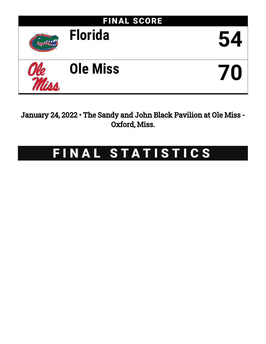

January 24, 2022 • The Sandy and John Black Pavilion at Ole Miss - Oxford, Miss.

# FINAL STATISTICS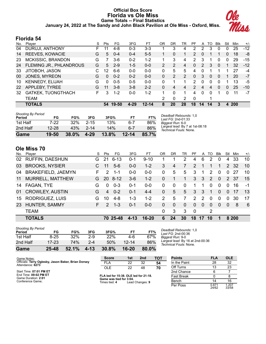## **Official Box Score Florida vs Ole Miss Game Totals -- Final Statistics January 24, 2022 at The Sandy and John Black Pavilion at Ole Miss - Oxford, Miss.**



## **Florida 54**

| No. | Plaver                  | S  | <b>Pts</b> | FG.     | 3FG     | FТ        | OR | DR       | TR             | РF            | A        | TO | <b>Blk</b> | Stl | Min        | $+/-$ |
|-----|-------------------------|----|------------|---------|---------|-----------|----|----------|----------------|---------------|----------|----|------------|-----|------------|-------|
| 04  | DURUJI, ANTHONY         | F. | 11         | 4-8     | $0 - 3$ | 3-3       |    | 3        | 4              | 2             | 2        | 3  | 0          | 0   | 25         | $-12$ |
| 14  | REEVES, KOWACIE         | G  | 5          | $0 - 4$ | $0 - 4$ | $5 - 5$   |    | 0        |                | 2             | 0        |    |            | 0   | 18         | -8    |
| 23  | MCKISSIC, BRANDON       | G  |            | 3-6     | $0 - 2$ | $1-2$     |    | 3        | 4              | 2             | 3        | 1  | 0          | 0   | 29         | $-15$ |
| 24  | FLEMING JR., PHLANDROUS | G  | 5          | $2 - 9$ | $1 - 5$ | $0 - 0$   | 2  | 2        | 4              | $\Omega$      | 2        | 3  | $\Omega$   |     | 32         | $-12$ |
| 33  | JITOBOH, JASON          | C  | 12         | $6-6$   | $0 - 0$ | $0-0$     | 0  | 5        | 5              | 4             | 0        |    |            |     | 27         | -4    |
| 00  | JONES, MYREON           | G  | 0          | $0 - 2$ | $0 - 2$ | $0 - 0$   | 0  | 2        | $\overline{2}$ | 0             | 3        | 0  | $\Omega$   |     | 20         | $-7$  |
| 10  | KENNEDY, ELIJAH         | G  | 0          | $0 - 5$ | $0 - 5$ | $0 - 0$   | 0  |          |                | 2             | 0        | 0  | 0          |     | 13         | -5    |
| 22  | APPLEBY, TYREE          | G  | 11         | $3 - 8$ | $3 - 8$ | $2 - 2$   | 0  | 4        | 4              | $\mathcal{P}$ | 4        | 4  | $\Omega$   | 0   | 25         | $-10$ |
| 32  | GATKEK, TUONGTHACH      | F. | 3          | $1 - 2$ | $0 - 0$ | $1-2$     |    | $\Omega$ |                | 4             | $\Omega$ | 0  |            | 0   | 11         | $-7$  |
|     | <b>TEAM</b>             |    |            |         |         |           | 2  | 0        | 2              | $\Omega$      |          |    |            |     |            |       |
|     | <b>TOTALS</b>           |    | 54.        | 19-50   | 4-29    | $12 - 14$ | 8  | 20       | 28             | 18            | 14       | 14 |            | 4   | <b>200</b> |       |

| Game                         | 19-50     | 38.0% | 4-29     | 13.8% | $12 - 14$ | 85.7% |            |
|------------------------------|-----------|-------|----------|-------|-----------|-------|------------|
| 2nd Half                     | $12 - 28$ | 43%   | $2 - 14$ | 14%   | 6-7       | 86%   | Lar<br>Tec |
| 1st Half                     | $7-22$    | 32%   | $2 - 15$ | 13%   | $6 - 7$   | 86%   | Bia        |
| Shooting By Period<br>Period | FG        | FG%   | 3FG      | 3FG%  | FT        | FT%   | De.<br>Las |

*Deadball Rebounds:* 1,0 *Last FG:* 2nd-01:33 *Biggest Run:* 6-0 *Largest lead:* By 7 at 1st-08:18 *Technical Fouls:* None.

# **Ole Miss 70**

| No. | Player                 | S  | Pts           | FG.      | 3FG     | FT       | OR       | DR           | TR       | PF            | A        | TO       | <b>B</b> lk | Stl      | Min   | $+/-$ |
|-----|------------------------|----|---------------|----------|---------|----------|----------|--------------|----------|---------------|----------|----------|-------------|----------|-------|-------|
| 02  | <b>RUFFIN, DAESHUN</b> | G  | 21            | $6 - 13$ | $0 - 1$ | $9 - 10$ |          |              | 2        | 4             | 6        | 2        | 0           | 4        | 33    | 10    |
| 03  | <b>BROOKS, NYSIER</b>  |    | 11            | $5-6$    | $0 - 0$ | $1 - 2$  | 3        | 4            | 7        | $\mathcal{P}$ |          |          |             | 2        | -32   | 10    |
| 04  | BRAKEFIELD, JAEMYN     | F. | 2             | $1 - 1$  | $0 - 0$ | $0-0$    | 0        | 5            | 5        | 3             | 1        | 2        | $\Omega$    | $\Omega$ | 27    | 10    |
| 11  | MURRELL, MATTHEW       | G. | <b>20</b>     | $8 - 12$ | $3-6$   | $1 - 2$  | $\Omega$ |              |          | 3             | 3        | 2        | $\Omega$    |          | 2 37  | 15    |
| 14  | FAGAN, TYE             | G  | $\Omega$      | $0 - 3$  | $0 - 1$ | $0-0$    | $\Omega$ | $\Omega$     | $\Omega$ | 1             | 1        | $\Omega$ | $\Omega$    | $\Omega$ | 16    | -1    |
| 01  | <b>CROWLEY, AUSTIN</b> | G  | 4             | $0 - 2$  | $0 - 1$ | $4 - 4$  | $\Omega$ | 5            | 5        | 3             | 3        | 1        | $\Omega$    | $\Omega$ | -17   | 13    |
| 15  | <b>RODRIGUEZ, LUIS</b> | G  | 10            | $4 - 8$  | $1 - 3$ | $1 - 2$  | 2        | 5            | 7        | $\mathcal{P}$ | 2        | 0        | $\Omega$    | $\Omega$ | 30    | 17    |
| 23  | HUNTER, SAMMY          | F. | $\mathcal{P}$ | $1 - 3$  | $0 - 1$ | $0-0$    | $\Omega$ | $\mathbf{0}$ | $\Omega$ | $\Omega$      | $\Omega$ | 0        | $\Omega$    | $\Omega$ | 8     | -6    |
|     | <b>TEAM</b>            |    |               |          |         |          | $\Omega$ | 3            | 3        | $\Omega$      |          | 2        |             |          |       |       |
|     | <b>TOTALS</b>          |    | 70.           | -25-48   | 4-13    | 16-20    | 6        | 24           | 30       | 18            | 17       | 10       |             |          | 8 200 |       |

| Game                                | 25-48     | 52.1% | $4 - 13$ | 30.8% | 16-20     | $80.0\%$ |   |
|-------------------------------------|-----------|-------|----------|-------|-----------|----------|---|
| 2nd Half                            | $17 - 23$ | 74%   | $2 - 4$  | 50%   | $12 - 14$ | 86%      |   |
| 1st Half                            | $8 - 25$  | 32%   | $2-9$    | 22%   | 4-6       | 67%      | B |
| <b>Shooting By Period</b><br>Period | FG        | FG%   | 3FG      | 3FG%  | FT        | FT%      |   |

*Deadball Rebounds:* 1,0 *Last FG:* 2nd-00:36 *Biggest Run:* 9-0 *Largest lead:* By 16 at 2nd-00:36 *Technical Fouls:* None.

| Game Notes:                                                             | <b>Score</b>                                    | 1st | 2 <sub>nd</sub> | TOT | <b>Points</b>     | <b>FLA</b>     | <b>OLE</b>     |
|-------------------------------------------------------------------------|-------------------------------------------------|-----|-----------------|-----|-------------------|----------------|----------------|
| Officials: Terry Oglesby, Jason Baker, Brian Dorsey<br>Attendance: 6273 | <b>FLA</b>                                      | 22  | 32              | 54  | In the Paint      | 28             | 32             |
|                                                                         | OLE                                             | 22  | 48              | 70  | Off Turns         | 13             | 23             |
| Start Time: 07:01 PM ET                                                 |                                                 |     |                 |     | 2nd Chance        |                |                |
| End Time: 09:02 PM ET<br>Game Duration: 2:01                            | FLA led for 15:38. OLE led for 21:18.           |     |                 |     | <b>Fast Break</b> |                |                |
| Conference Game:                                                        | Game was tied for 3:04.<br>Times tied: <b>4</b> |     | Lead Changes: 9 |     | Bench             | 14             | 16             |
|                                                                         |                                                 |     |                 |     | Per Poss          | 0.871<br>24/62 | 1.207<br>33/58 |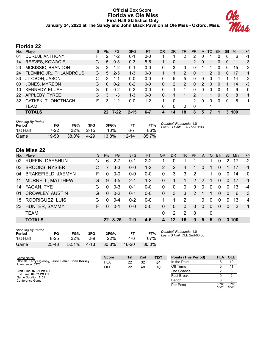#### **Official Box Score Florida vs Ole Miss First Half Statistics Only January 24, 2022 at The Sandy and John Black Pavilion at Ole Miss - Oxford, Miss.**



# **Florida 22**

| No.       | Player                  | S  | <b>Pts</b>      | <b>FG</b> | 3FG      | FT      | 0R | <b>DR</b> | TR             | <b>PF</b>     | A | TO | <b>B</b> lk    | Stl      | Min | $+/-$        |
|-----------|-------------------------|----|-----------------|-----------|----------|---------|----|-----------|----------------|---------------|---|----|----------------|----------|-----|--------------|
| 04        | DURUJI, ANTHONY         | F  | $\mathcal{P}$   | 1-2       | $0 - 1$  | 0-0     |    |           | 2              | 2             | 0 |    | 0              | 0        | 6   | -1           |
| 14        | REEVES, KOWACIE         | G  | 5               | $0 - 3$   | $0 - 3$  | $5 - 5$ |    | 0         |                | 2             | 0 |    | 0              | 0        | 11  | 3            |
| 23        | MCKISSIC, BRANDON       | G  | $\mathcal{P}$   | $1 - 2$   | $0 - 1$  | $0 - 0$ | 0  | 3         | 3              | 0             |   |    | 0              | 0        | 15  | $-2$         |
| 24        | FLEMING JR., PHLANDROUS | G  | 5               | $2 - 5$   | $1 - 3$  | $0 - 0$ |    |           | $\overline{2}$ | 0             |   | 2  | $\mathbf{0}$   | 0        | 17  | $\mathbf{1}$ |
| 33        | JITOBOH, JASON          | С  | 2               | $1 - 1$   | $0 - 0$  | $0 - 0$ | 0  | 5         | 5              | 0             | 0 | 0  |                |          | 14  | 2            |
| 00        | JONES, MYREON           | G  | $\Omega$        | $0 - 2$   | $0 - 2$  | $0-0$   | 0  | 2         | $\overline{2}$ | $\Omega$      | 2 | 0  | $\overline{0}$ |          | 14  | $-3$         |
| 10        | <b>KENNEDY, ELIJAH</b>  | G  | $\Omega$        | $0 - 2$   | $0 - 2$  | $0 - 0$ | 0  |           |                | 0             | 0 | 0  | 0              |          | 9   | $\mathbf{0}$ |
| <b>22</b> | APPLEBY, TYREE          | G  | 3               | $1 - 3$   | $1 - 3$  | $0 - 0$ | 0  |           |                | $\mathcal{P}$ |   |    | $\Omega$       | $\Omega$ | 8   | 1            |
| 32        | GATKEK, TUONGTHACH      | F. | 3               | $1 - 2$   | $0 - 0$  | $1 - 2$ |    | 0         |                | 2             | 0 | 0  | 0              | $\Omega$ | 6   | $-1$         |
|           | TEAM                    |    |                 |           |          |         | 0  | 0         | $\Omega$       | $\Omega$      |   |    |                |          |     |              |
|           | <b>TOTALS</b>           |    | 22 <sub>2</sub> | $7 - 22$  | $2 - 15$ | $6 - 7$ | 4  | 14        | 18             | 8             | 5 |    |                | 3        | 100 |              |

| <b>Shooting By Period</b><br>Period | FG     | FG%    | 3FG      | 3FG%     | FT        | FT%   | Deadball Rebounds: 1,0<br>Last FG Half: FLA 2nd-01:33 |
|-------------------------------------|--------|--------|----------|----------|-----------|-------|-------------------------------------------------------|
| 1st Half                            | $7-22$ | $32\%$ | $2 - 15$ | 13%      | 6.7       | 86%   |                                                       |
| Game                                | 19-50  | 38.0%  | 4-29     | $13.8\%$ | $12 - 14$ | 85.7% |                                                       |

# **Ole Miss 22**

| No. | Player                    | S. | Pts          | FG.     | 3FG     | <b>FT</b> | OR       | <b>DR</b> | TR       | <b>PF</b>     | A        | TO       | <b>B</b> lk | Stl      | Min   | $+/-$          |
|-----|---------------------------|----|--------------|---------|---------|-----------|----------|-----------|----------|---------------|----------|----------|-------------|----------|-------|----------------|
| 02  | <b>RUFFIN, DAESHUN</b>    | G  | 6            | $2 - 7$ | $0 - 1$ | $2 - 2$   |          | 0         |          | 1             |          |          | 0           | 2        | 17    | $-2$           |
| 03  | <b>BROOKS, NYSIER</b>     |    | 7            | $3 - 3$ | $0 - 0$ | $1 - 2$   | 2        | 2         | 4        | 1             | $\Omega$ |          | $\Omega$    |          | 17    | $-1$           |
| 04  | <b>BRAKEFIELD, JAEMYN</b> | F  | 0            | $0 - 0$ | $0 - 0$ | $0 - 0$   | 0        | 3         | 3        | 2             |          |          | $\Omega$    | $\Omega$ | 14    | $\Omega$       |
| 11  | MURRELL, MATTHEW          | G  | 9            | $3-5$   | $2 - 4$ | $1 - 2$   | $\Omega$ |           |          | 2             | 2        |          | $\Omega$    | $\Omega$ | 17    | $-1$           |
| 14  | FAGAN, TYE                | G  | $\Omega$     | $0 - 3$ | $0 - 1$ | $0 - 0$   | $\Omega$ | 0         | $\Omega$ | $\Omega$      | $\Omega$ | $\Omega$ | $\Omega$    | $\Omega$ | 13    | $-4$           |
| 01  | <b>CROWLEY, AUSTIN</b>    | G  | $\Omega$     | $0 - 2$ | $0 - 1$ | $0 - 0$   | $\Omega$ | 3         | 3        | $\mathcal{P}$ |          |          | $\Omega$    | $\Omega$ | 6     | 3              |
| 15  | RODRIGUEZ, LUIS           | G  | 0            | $0 - 4$ | $0 - 2$ | $0 - 0$   |          |           | 2        | 1             | 0        | $\Omega$ | $\Omega$    | $\Omega$ | 13    | $\overline{4}$ |
| 23  | HUNTER, SAMMY             | F. | <sup>0</sup> | $0 - 1$ | $0 - 0$ | $0 - 0$   | $\Omega$ | 0         | $\Omega$ | $\Omega$      | $\Omega$ | 0        | $\Omega$    | $\Omega$ | 3     | $\overline{1}$ |
|     | <b>TEAM</b>               |    |              |         |         |           | $\Omega$ | 2         | 2        | $\Omega$      |          | 0        |             |          |       |                |
|     | <b>TOTALS</b>             |    |              | 22 8-25 | $2 - 9$ | $4 - 6$   | 4        | 12        | 16       | 9             | 5        | 5        | $\bf{0}$    |          | 3 100 |                |

| <b>Shooting By Period</b><br>Period | FG       | FG%   | 3FG      | 3FG%  | FΤ    | FT%   |
|-------------------------------------|----------|-------|----------|-------|-------|-------|
| 1st Half                            | $8 - 25$ | 32%   | $2-9$    | 22%   | 4-6   | 67%   |
| Game                                | 25-48    | 52.1% | $4 - 13$ | 30.8% | 16-20 | 80.0% |

*Deadball Rebounds:* 1,0 *Last FG Half:* OLE 2nd-00:36

| Game Notes:                                                             | <b>Score</b> | 1st | 2 <sub>nd</sub> | <b>TOT</b> | <b>Points (This Period)</b> | <b>FLA</b>     | <b>OLE</b>     |
|-------------------------------------------------------------------------|--------------|-----|-----------------|------------|-----------------------------|----------------|----------------|
| Officials: Terry Oglesby, Jason Baker, Brian Dorsey<br>Attendance: 6273 | FLA          | 22  | 32              | 54         | In the Paint                |                | 10             |
|                                                                         | OLE          | 22  | 48              | 70         | Off Turns                   |                |                |
| Start Time: 07:01 PM ET                                                 |              |     |                 |            | 2nd Chance                  |                |                |
| End Time: 09:02 PM ET<br>Game Duration: 2:01                            |              |     |                 |            | <b>Fast Break</b>           |                |                |
| Conference Game:                                                        |              |     |                 |            | Bench                       |                |                |
|                                                                         |              |     |                 |            | Per Poss                    | 0.786<br>10/28 | 0.786<br>10/28 |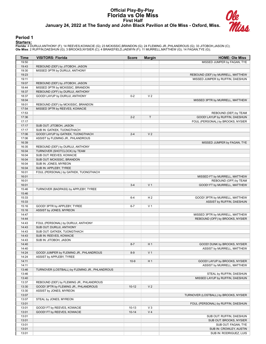#### **Official Play-By-Play Florida vs Ole Miss First Half January 24, 2022 at The Sandy and John Black Pavilion at Ole Miss - Oxford, Miss.**



#### **Period 1**

#### **Starters:**

Florida: 4 DURUJI,ANTHONY (F); 14 REEVES,KOWACIE (G); 23 MCKISSIC,BRANDON (G); 24 FLEMING JR.,PHLANDROUS (G); 33 JITOBOH,JASON (C);<br>**Ole Miss**: 2 RUFFIN,DAESHUN (G); 3 BROOKS,NYSIER (C); 4 BRAKEFIELD,JAEMYN (F); 11 MURRELL

| MISSED JUMPER by FAGAN, TYE<br>19:50<br>19:43<br>REBOUND (DEF) by JITOBOH, JASON<br>19:30<br>MISSED 3PTR by DURUJI, ANTHONY<br>19:23<br>REBOUND (DEF) by MURRELL, MATTHEW<br>19:11<br>MISSED JUMPER by RUFFIN, DAESHUN<br>19:07<br>REBOUND (DEF) by JITOBOH, JASON<br>18:44<br>MISSED 3PTR by MCKISSIC, BRANDON<br>18:37<br>REBOUND (OFF) by DURUJI, ANTHONY<br>V <sub>2</sub><br>18:37<br>GOOD! LAYUP by DURUJI, ANTHONY<br>$0 - 2$<br>18:04<br>MISSED 3PTR by MURRELL, MATTHEW<br>18:01<br>REBOUND (DEF) by MCKISSIC, BRANDON<br>17:54<br>MISSED 3PTR by REEVES, KOWACIE<br>17:53<br>REBOUND (DEF) by TEAM<br>T<br>17:36<br>$2 - 2$<br>GOOD! LAYUP by RUFFIN, DAESHUN<br>17:17<br>FOUL (PERSONAL) by BROOKS, NYSIER<br>17:17<br>SUB OUT: JITOBOH, JASON<br>17:17<br>SUB IN: GATKEK, TUONGTHACH<br>17:06<br>$2 - 4$<br>V <sub>2</sub><br>GOOD! LAYUP by GATKEK, TUONGTHACH<br>17:06<br>ASSIST by FLEMING JR., PHLANDROUS<br>16:39<br>MISSED JUMPER by FAGAN, TYE<br>16:35<br>REBOUND (DEF) by DURUJI, ANTHONY<br>16:04<br>TURNOVER (SHOTCLOCK) by TEAM<br>16:04<br>SUB OUT: REEVES, KOWACIE<br>16:04<br>SUB OUT: MCKISSIC, BRANDON<br>16:04<br>SUB IN: JONES, MYREON<br>16:04<br>SUB IN: APPLEBY, TYREE<br>16:01<br>FOUL (PERSONAL) by GATKEK, TUONGTHACH<br>16:01<br>MISSED FT by MURRELL, MATTHEW<br>16:01<br>REBOUND (OFF) by TEAM<br>V <sub>1</sub><br>16:01<br>$3 - 4$<br>GOOD! FT by MURRELL, MATTHEW<br>15:46<br>TURNOVER (BADPASS) by APPLEBY, TYREE<br>15:46<br>15:33<br>$6 - 4$<br>H <sub>2</sub><br>GOOD! 3PTR by MURRELL, MATTHEW<br>15:33<br>ASSIST by RUFFIN, DAESHUN<br>15:16<br>GOOD! 3PTR by APPLEBY, TYREE<br>V <sub>1</sub><br>$6 - 7$<br>15:16<br>ASSIST by JONES, MYREON<br>14:47<br>MISSED 3PTR by MURRELL, MATTHEW<br>14:44<br>REBOUND (OFF) by BROOKS, NYSIER<br>14:43<br>FOUL (PERSONAL) by DURUJI, ANTHONY<br>14:43<br>SUB OUT: DURUJI, ANTHONY<br>14:43<br>SUB OUT: GATKEK, TUONGTHACH<br>14:43<br>SUB IN: REEVES, KOWACIE<br>14:43<br>SUB IN: JITOBOH, JASON<br>14:40<br>$8 - 7$<br>H <sub>1</sub><br>GOOD! DUNK by BROOKS, NYSIER<br>14:40<br>ASSIST by MURRELL, MATTHEW<br>14:24<br>GOOD! JUMPER by FLEMING JR., PHLANDROUS<br>$8-9$<br>V <sub>1</sub><br>14:24<br>ASSIST by APPLEBY, TYREE<br>14:11<br>H <sub>1</sub><br>GOOD! LAYUP by BROOKS, NYSIER<br>$10-9$<br>14:11<br>ASSIST by MURRELL, MATTHEW<br>13:46<br>TURNOVER (LOSTBALL) by FLEMING JR., PHLANDROUS<br>13:46<br>STEAL by RUFFIN, DAESHUN<br>13:40<br>MISSED LAYUP by RUFFIN, DAESHUN<br>13:37<br>REBOUND (DEF) by FLEMING JR., PHLANDROUS<br>GOOD! 3PTR by FLEMING JR., PHLANDROUS<br>V <sub>2</sub><br>13:30<br>$10-12$<br>13:30<br>ASSIST by JONES, MYREON<br>13:07<br>TURNOVER (LOSTBALL) by BROOKS, NYSIER<br>13:07<br>STEAL by JONES, MYREON<br>13:01<br>FOUL (PERSONAL) by RUFFIN, DAESHUN<br>13:01<br>$V_3$<br>GOOD! FT by REEVES, KOWACIE<br>$10 - 13$<br>V <sub>4</sub><br>13:01<br>GOOD! FT by REEVES, KOWACIE<br>$10 - 14$<br>13:01<br>SUB OUT: RUFFIN, DAESHUN<br>13:01<br>SUB OUT: BROOKS, NYSIER<br>13:01<br>SUB OUT: FAGAN, TYE<br>13:01<br>SUB IN: CROWLEY, AUSTIN<br>13:01<br>SUB IN: RODRIGUEZ, LUIS | Time | <b>VISITORS: Florida</b> | <b>Score</b> | <b>Margin</b> | <b>HOME: Ole Miss</b> |
|-----------------------------------------------------------------------------------------------------------------------------------------------------------------------------------------------------------------------------------------------------------------------------------------------------------------------------------------------------------------------------------------------------------------------------------------------------------------------------------------------------------------------------------------------------------------------------------------------------------------------------------------------------------------------------------------------------------------------------------------------------------------------------------------------------------------------------------------------------------------------------------------------------------------------------------------------------------------------------------------------------------------------------------------------------------------------------------------------------------------------------------------------------------------------------------------------------------------------------------------------------------------------------------------------------------------------------------------------------------------------------------------------------------------------------------------------------------------------------------------------------------------------------------------------------------------------------------------------------------------------------------------------------------------------------------------------------------------------------------------------------------------------------------------------------------------------------------------------------------------------------------------------------------------------------------------------------------------------------------------------------------------------------------------------------------------------------------------------------------------------------------------------------------------------------------------------------------------------------------------------------------------------------------------------------------------------------------------------------------------------------------------------------------------------------------------------------------------------------------------------------------------------------------------------------------------------------------------------------------------------------------------------------------------------------------------------------------------------------------------------------------------------------------------------------------------------------------------------------------------------------------------------------------------------------------------------------------------------------------------------------------------------------------------------------------------------------------------------------------------------|------|--------------------------|--------------|---------------|-----------------------|
|                                                                                                                                                                                                                                                                                                                                                                                                                                                                                                                                                                                                                                                                                                                                                                                                                                                                                                                                                                                                                                                                                                                                                                                                                                                                                                                                                                                                                                                                                                                                                                                                                                                                                                                                                                                                                                                                                                                                                                                                                                                                                                                                                                                                                                                                                                                                                                                                                                                                                                                                                                                                                                                                                                                                                                                                                                                                                                                                                                                                                                                                                                                       |      |                          |              |               |                       |
|                                                                                                                                                                                                                                                                                                                                                                                                                                                                                                                                                                                                                                                                                                                                                                                                                                                                                                                                                                                                                                                                                                                                                                                                                                                                                                                                                                                                                                                                                                                                                                                                                                                                                                                                                                                                                                                                                                                                                                                                                                                                                                                                                                                                                                                                                                                                                                                                                                                                                                                                                                                                                                                                                                                                                                                                                                                                                                                                                                                                                                                                                                                       |      |                          |              |               |                       |
|                                                                                                                                                                                                                                                                                                                                                                                                                                                                                                                                                                                                                                                                                                                                                                                                                                                                                                                                                                                                                                                                                                                                                                                                                                                                                                                                                                                                                                                                                                                                                                                                                                                                                                                                                                                                                                                                                                                                                                                                                                                                                                                                                                                                                                                                                                                                                                                                                                                                                                                                                                                                                                                                                                                                                                                                                                                                                                                                                                                                                                                                                                                       |      |                          |              |               |                       |
|                                                                                                                                                                                                                                                                                                                                                                                                                                                                                                                                                                                                                                                                                                                                                                                                                                                                                                                                                                                                                                                                                                                                                                                                                                                                                                                                                                                                                                                                                                                                                                                                                                                                                                                                                                                                                                                                                                                                                                                                                                                                                                                                                                                                                                                                                                                                                                                                                                                                                                                                                                                                                                                                                                                                                                                                                                                                                                                                                                                                                                                                                                                       |      |                          |              |               |                       |
|                                                                                                                                                                                                                                                                                                                                                                                                                                                                                                                                                                                                                                                                                                                                                                                                                                                                                                                                                                                                                                                                                                                                                                                                                                                                                                                                                                                                                                                                                                                                                                                                                                                                                                                                                                                                                                                                                                                                                                                                                                                                                                                                                                                                                                                                                                                                                                                                                                                                                                                                                                                                                                                                                                                                                                                                                                                                                                                                                                                                                                                                                                                       |      |                          |              |               |                       |
|                                                                                                                                                                                                                                                                                                                                                                                                                                                                                                                                                                                                                                                                                                                                                                                                                                                                                                                                                                                                                                                                                                                                                                                                                                                                                                                                                                                                                                                                                                                                                                                                                                                                                                                                                                                                                                                                                                                                                                                                                                                                                                                                                                                                                                                                                                                                                                                                                                                                                                                                                                                                                                                                                                                                                                                                                                                                                                                                                                                                                                                                                                                       |      |                          |              |               |                       |
|                                                                                                                                                                                                                                                                                                                                                                                                                                                                                                                                                                                                                                                                                                                                                                                                                                                                                                                                                                                                                                                                                                                                                                                                                                                                                                                                                                                                                                                                                                                                                                                                                                                                                                                                                                                                                                                                                                                                                                                                                                                                                                                                                                                                                                                                                                                                                                                                                                                                                                                                                                                                                                                                                                                                                                                                                                                                                                                                                                                                                                                                                                                       |      |                          |              |               |                       |
|                                                                                                                                                                                                                                                                                                                                                                                                                                                                                                                                                                                                                                                                                                                                                                                                                                                                                                                                                                                                                                                                                                                                                                                                                                                                                                                                                                                                                                                                                                                                                                                                                                                                                                                                                                                                                                                                                                                                                                                                                                                                                                                                                                                                                                                                                                                                                                                                                                                                                                                                                                                                                                                                                                                                                                                                                                                                                                                                                                                                                                                                                                                       |      |                          |              |               |                       |
|                                                                                                                                                                                                                                                                                                                                                                                                                                                                                                                                                                                                                                                                                                                                                                                                                                                                                                                                                                                                                                                                                                                                                                                                                                                                                                                                                                                                                                                                                                                                                                                                                                                                                                                                                                                                                                                                                                                                                                                                                                                                                                                                                                                                                                                                                                                                                                                                                                                                                                                                                                                                                                                                                                                                                                                                                                                                                                                                                                                                                                                                                                                       |      |                          |              |               |                       |
|                                                                                                                                                                                                                                                                                                                                                                                                                                                                                                                                                                                                                                                                                                                                                                                                                                                                                                                                                                                                                                                                                                                                                                                                                                                                                                                                                                                                                                                                                                                                                                                                                                                                                                                                                                                                                                                                                                                                                                                                                                                                                                                                                                                                                                                                                                                                                                                                                                                                                                                                                                                                                                                                                                                                                                                                                                                                                                                                                                                                                                                                                                                       |      |                          |              |               |                       |
|                                                                                                                                                                                                                                                                                                                                                                                                                                                                                                                                                                                                                                                                                                                                                                                                                                                                                                                                                                                                                                                                                                                                                                                                                                                                                                                                                                                                                                                                                                                                                                                                                                                                                                                                                                                                                                                                                                                                                                                                                                                                                                                                                                                                                                                                                                                                                                                                                                                                                                                                                                                                                                                                                                                                                                                                                                                                                                                                                                                                                                                                                                                       |      |                          |              |               |                       |
|                                                                                                                                                                                                                                                                                                                                                                                                                                                                                                                                                                                                                                                                                                                                                                                                                                                                                                                                                                                                                                                                                                                                                                                                                                                                                                                                                                                                                                                                                                                                                                                                                                                                                                                                                                                                                                                                                                                                                                                                                                                                                                                                                                                                                                                                                                                                                                                                                                                                                                                                                                                                                                                                                                                                                                                                                                                                                                                                                                                                                                                                                                                       |      |                          |              |               |                       |
|                                                                                                                                                                                                                                                                                                                                                                                                                                                                                                                                                                                                                                                                                                                                                                                                                                                                                                                                                                                                                                                                                                                                                                                                                                                                                                                                                                                                                                                                                                                                                                                                                                                                                                                                                                                                                                                                                                                                                                                                                                                                                                                                                                                                                                                                                                                                                                                                                                                                                                                                                                                                                                                                                                                                                                                                                                                                                                                                                                                                                                                                                                                       |      |                          |              |               |                       |
|                                                                                                                                                                                                                                                                                                                                                                                                                                                                                                                                                                                                                                                                                                                                                                                                                                                                                                                                                                                                                                                                                                                                                                                                                                                                                                                                                                                                                                                                                                                                                                                                                                                                                                                                                                                                                                                                                                                                                                                                                                                                                                                                                                                                                                                                                                                                                                                                                                                                                                                                                                                                                                                                                                                                                                                                                                                                                                                                                                                                                                                                                                                       |      |                          |              |               |                       |
|                                                                                                                                                                                                                                                                                                                                                                                                                                                                                                                                                                                                                                                                                                                                                                                                                                                                                                                                                                                                                                                                                                                                                                                                                                                                                                                                                                                                                                                                                                                                                                                                                                                                                                                                                                                                                                                                                                                                                                                                                                                                                                                                                                                                                                                                                                                                                                                                                                                                                                                                                                                                                                                                                                                                                                                                                                                                                                                                                                                                                                                                                                                       |      |                          |              |               |                       |
|                                                                                                                                                                                                                                                                                                                                                                                                                                                                                                                                                                                                                                                                                                                                                                                                                                                                                                                                                                                                                                                                                                                                                                                                                                                                                                                                                                                                                                                                                                                                                                                                                                                                                                                                                                                                                                                                                                                                                                                                                                                                                                                                                                                                                                                                                                                                                                                                                                                                                                                                                                                                                                                                                                                                                                                                                                                                                                                                                                                                                                                                                                                       |      |                          |              |               |                       |
|                                                                                                                                                                                                                                                                                                                                                                                                                                                                                                                                                                                                                                                                                                                                                                                                                                                                                                                                                                                                                                                                                                                                                                                                                                                                                                                                                                                                                                                                                                                                                                                                                                                                                                                                                                                                                                                                                                                                                                                                                                                                                                                                                                                                                                                                                                                                                                                                                                                                                                                                                                                                                                                                                                                                                                                                                                                                                                                                                                                                                                                                                                                       |      |                          |              |               |                       |
|                                                                                                                                                                                                                                                                                                                                                                                                                                                                                                                                                                                                                                                                                                                                                                                                                                                                                                                                                                                                                                                                                                                                                                                                                                                                                                                                                                                                                                                                                                                                                                                                                                                                                                                                                                                                                                                                                                                                                                                                                                                                                                                                                                                                                                                                                                                                                                                                                                                                                                                                                                                                                                                                                                                                                                                                                                                                                                                                                                                                                                                                                                                       |      |                          |              |               |                       |
|                                                                                                                                                                                                                                                                                                                                                                                                                                                                                                                                                                                                                                                                                                                                                                                                                                                                                                                                                                                                                                                                                                                                                                                                                                                                                                                                                                                                                                                                                                                                                                                                                                                                                                                                                                                                                                                                                                                                                                                                                                                                                                                                                                                                                                                                                                                                                                                                                                                                                                                                                                                                                                                                                                                                                                                                                                                                                                                                                                                                                                                                                                                       |      |                          |              |               |                       |
|                                                                                                                                                                                                                                                                                                                                                                                                                                                                                                                                                                                                                                                                                                                                                                                                                                                                                                                                                                                                                                                                                                                                                                                                                                                                                                                                                                                                                                                                                                                                                                                                                                                                                                                                                                                                                                                                                                                                                                                                                                                                                                                                                                                                                                                                                                                                                                                                                                                                                                                                                                                                                                                                                                                                                                                                                                                                                                                                                                                                                                                                                                                       |      |                          |              |               |                       |
|                                                                                                                                                                                                                                                                                                                                                                                                                                                                                                                                                                                                                                                                                                                                                                                                                                                                                                                                                                                                                                                                                                                                                                                                                                                                                                                                                                                                                                                                                                                                                                                                                                                                                                                                                                                                                                                                                                                                                                                                                                                                                                                                                                                                                                                                                                                                                                                                                                                                                                                                                                                                                                                                                                                                                                                                                                                                                                                                                                                                                                                                                                                       |      |                          |              |               |                       |
|                                                                                                                                                                                                                                                                                                                                                                                                                                                                                                                                                                                                                                                                                                                                                                                                                                                                                                                                                                                                                                                                                                                                                                                                                                                                                                                                                                                                                                                                                                                                                                                                                                                                                                                                                                                                                                                                                                                                                                                                                                                                                                                                                                                                                                                                                                                                                                                                                                                                                                                                                                                                                                                                                                                                                                                                                                                                                                                                                                                                                                                                                                                       |      |                          |              |               |                       |
|                                                                                                                                                                                                                                                                                                                                                                                                                                                                                                                                                                                                                                                                                                                                                                                                                                                                                                                                                                                                                                                                                                                                                                                                                                                                                                                                                                                                                                                                                                                                                                                                                                                                                                                                                                                                                                                                                                                                                                                                                                                                                                                                                                                                                                                                                                                                                                                                                                                                                                                                                                                                                                                                                                                                                                                                                                                                                                                                                                                                                                                                                                                       |      |                          |              |               |                       |
|                                                                                                                                                                                                                                                                                                                                                                                                                                                                                                                                                                                                                                                                                                                                                                                                                                                                                                                                                                                                                                                                                                                                                                                                                                                                                                                                                                                                                                                                                                                                                                                                                                                                                                                                                                                                                                                                                                                                                                                                                                                                                                                                                                                                                                                                                                                                                                                                                                                                                                                                                                                                                                                                                                                                                                                                                                                                                                                                                                                                                                                                                                                       |      |                          |              |               |                       |
|                                                                                                                                                                                                                                                                                                                                                                                                                                                                                                                                                                                                                                                                                                                                                                                                                                                                                                                                                                                                                                                                                                                                                                                                                                                                                                                                                                                                                                                                                                                                                                                                                                                                                                                                                                                                                                                                                                                                                                                                                                                                                                                                                                                                                                                                                                                                                                                                                                                                                                                                                                                                                                                                                                                                                                                                                                                                                                                                                                                                                                                                                                                       |      |                          |              |               |                       |
|                                                                                                                                                                                                                                                                                                                                                                                                                                                                                                                                                                                                                                                                                                                                                                                                                                                                                                                                                                                                                                                                                                                                                                                                                                                                                                                                                                                                                                                                                                                                                                                                                                                                                                                                                                                                                                                                                                                                                                                                                                                                                                                                                                                                                                                                                                                                                                                                                                                                                                                                                                                                                                                                                                                                                                                                                                                                                                                                                                                                                                                                                                                       |      |                          |              |               |                       |
|                                                                                                                                                                                                                                                                                                                                                                                                                                                                                                                                                                                                                                                                                                                                                                                                                                                                                                                                                                                                                                                                                                                                                                                                                                                                                                                                                                                                                                                                                                                                                                                                                                                                                                                                                                                                                                                                                                                                                                                                                                                                                                                                                                                                                                                                                                                                                                                                                                                                                                                                                                                                                                                                                                                                                                                                                                                                                                                                                                                                                                                                                                                       |      |                          |              |               |                       |
|                                                                                                                                                                                                                                                                                                                                                                                                                                                                                                                                                                                                                                                                                                                                                                                                                                                                                                                                                                                                                                                                                                                                                                                                                                                                                                                                                                                                                                                                                                                                                                                                                                                                                                                                                                                                                                                                                                                                                                                                                                                                                                                                                                                                                                                                                                                                                                                                                                                                                                                                                                                                                                                                                                                                                                                                                                                                                                                                                                                                                                                                                                                       |      |                          |              |               |                       |
|                                                                                                                                                                                                                                                                                                                                                                                                                                                                                                                                                                                                                                                                                                                                                                                                                                                                                                                                                                                                                                                                                                                                                                                                                                                                                                                                                                                                                                                                                                                                                                                                                                                                                                                                                                                                                                                                                                                                                                                                                                                                                                                                                                                                                                                                                                                                                                                                                                                                                                                                                                                                                                                                                                                                                                                                                                                                                                                                                                                                                                                                                                                       |      |                          |              |               |                       |
|                                                                                                                                                                                                                                                                                                                                                                                                                                                                                                                                                                                                                                                                                                                                                                                                                                                                                                                                                                                                                                                                                                                                                                                                                                                                                                                                                                                                                                                                                                                                                                                                                                                                                                                                                                                                                                                                                                                                                                                                                                                                                                                                                                                                                                                                                                                                                                                                                                                                                                                                                                                                                                                                                                                                                                                                                                                                                                                                                                                                                                                                                                                       |      |                          |              |               |                       |
|                                                                                                                                                                                                                                                                                                                                                                                                                                                                                                                                                                                                                                                                                                                                                                                                                                                                                                                                                                                                                                                                                                                                                                                                                                                                                                                                                                                                                                                                                                                                                                                                                                                                                                                                                                                                                                                                                                                                                                                                                                                                                                                                                                                                                                                                                                                                                                                                                                                                                                                                                                                                                                                                                                                                                                                                                                                                                                                                                                                                                                                                                                                       |      |                          |              |               |                       |
|                                                                                                                                                                                                                                                                                                                                                                                                                                                                                                                                                                                                                                                                                                                                                                                                                                                                                                                                                                                                                                                                                                                                                                                                                                                                                                                                                                                                                                                                                                                                                                                                                                                                                                                                                                                                                                                                                                                                                                                                                                                                                                                                                                                                                                                                                                                                                                                                                                                                                                                                                                                                                                                                                                                                                                                                                                                                                                                                                                                                                                                                                                                       |      |                          |              |               |                       |
|                                                                                                                                                                                                                                                                                                                                                                                                                                                                                                                                                                                                                                                                                                                                                                                                                                                                                                                                                                                                                                                                                                                                                                                                                                                                                                                                                                                                                                                                                                                                                                                                                                                                                                                                                                                                                                                                                                                                                                                                                                                                                                                                                                                                                                                                                                                                                                                                                                                                                                                                                                                                                                                                                                                                                                                                                                                                                                                                                                                                                                                                                                                       |      |                          |              |               |                       |
|                                                                                                                                                                                                                                                                                                                                                                                                                                                                                                                                                                                                                                                                                                                                                                                                                                                                                                                                                                                                                                                                                                                                                                                                                                                                                                                                                                                                                                                                                                                                                                                                                                                                                                                                                                                                                                                                                                                                                                                                                                                                                                                                                                                                                                                                                                                                                                                                                                                                                                                                                                                                                                                                                                                                                                                                                                                                                                                                                                                                                                                                                                                       |      |                          |              |               |                       |
|                                                                                                                                                                                                                                                                                                                                                                                                                                                                                                                                                                                                                                                                                                                                                                                                                                                                                                                                                                                                                                                                                                                                                                                                                                                                                                                                                                                                                                                                                                                                                                                                                                                                                                                                                                                                                                                                                                                                                                                                                                                                                                                                                                                                                                                                                                                                                                                                                                                                                                                                                                                                                                                                                                                                                                                                                                                                                                                                                                                                                                                                                                                       |      |                          |              |               |                       |
|                                                                                                                                                                                                                                                                                                                                                                                                                                                                                                                                                                                                                                                                                                                                                                                                                                                                                                                                                                                                                                                                                                                                                                                                                                                                                                                                                                                                                                                                                                                                                                                                                                                                                                                                                                                                                                                                                                                                                                                                                                                                                                                                                                                                                                                                                                                                                                                                                                                                                                                                                                                                                                                                                                                                                                                                                                                                                                                                                                                                                                                                                                                       |      |                          |              |               |                       |
|                                                                                                                                                                                                                                                                                                                                                                                                                                                                                                                                                                                                                                                                                                                                                                                                                                                                                                                                                                                                                                                                                                                                                                                                                                                                                                                                                                                                                                                                                                                                                                                                                                                                                                                                                                                                                                                                                                                                                                                                                                                                                                                                                                                                                                                                                                                                                                                                                                                                                                                                                                                                                                                                                                                                                                                                                                                                                                                                                                                                                                                                                                                       |      |                          |              |               |                       |
|                                                                                                                                                                                                                                                                                                                                                                                                                                                                                                                                                                                                                                                                                                                                                                                                                                                                                                                                                                                                                                                                                                                                                                                                                                                                                                                                                                                                                                                                                                                                                                                                                                                                                                                                                                                                                                                                                                                                                                                                                                                                                                                                                                                                                                                                                                                                                                                                                                                                                                                                                                                                                                                                                                                                                                                                                                                                                                                                                                                                                                                                                                                       |      |                          |              |               |                       |
|                                                                                                                                                                                                                                                                                                                                                                                                                                                                                                                                                                                                                                                                                                                                                                                                                                                                                                                                                                                                                                                                                                                                                                                                                                                                                                                                                                                                                                                                                                                                                                                                                                                                                                                                                                                                                                                                                                                                                                                                                                                                                                                                                                                                                                                                                                                                                                                                                                                                                                                                                                                                                                                                                                                                                                                                                                                                                                                                                                                                                                                                                                                       |      |                          |              |               |                       |
|                                                                                                                                                                                                                                                                                                                                                                                                                                                                                                                                                                                                                                                                                                                                                                                                                                                                                                                                                                                                                                                                                                                                                                                                                                                                                                                                                                                                                                                                                                                                                                                                                                                                                                                                                                                                                                                                                                                                                                                                                                                                                                                                                                                                                                                                                                                                                                                                                                                                                                                                                                                                                                                                                                                                                                                                                                                                                                                                                                                                                                                                                                                       |      |                          |              |               |                       |
|                                                                                                                                                                                                                                                                                                                                                                                                                                                                                                                                                                                                                                                                                                                                                                                                                                                                                                                                                                                                                                                                                                                                                                                                                                                                                                                                                                                                                                                                                                                                                                                                                                                                                                                                                                                                                                                                                                                                                                                                                                                                                                                                                                                                                                                                                                                                                                                                                                                                                                                                                                                                                                                                                                                                                                                                                                                                                                                                                                                                                                                                                                                       |      |                          |              |               |                       |
|                                                                                                                                                                                                                                                                                                                                                                                                                                                                                                                                                                                                                                                                                                                                                                                                                                                                                                                                                                                                                                                                                                                                                                                                                                                                                                                                                                                                                                                                                                                                                                                                                                                                                                                                                                                                                                                                                                                                                                                                                                                                                                                                                                                                                                                                                                                                                                                                                                                                                                                                                                                                                                                                                                                                                                                                                                                                                                                                                                                                                                                                                                                       |      |                          |              |               |                       |
|                                                                                                                                                                                                                                                                                                                                                                                                                                                                                                                                                                                                                                                                                                                                                                                                                                                                                                                                                                                                                                                                                                                                                                                                                                                                                                                                                                                                                                                                                                                                                                                                                                                                                                                                                                                                                                                                                                                                                                                                                                                                                                                                                                                                                                                                                                                                                                                                                                                                                                                                                                                                                                                                                                                                                                                                                                                                                                                                                                                                                                                                                                                       |      |                          |              |               |                       |
|                                                                                                                                                                                                                                                                                                                                                                                                                                                                                                                                                                                                                                                                                                                                                                                                                                                                                                                                                                                                                                                                                                                                                                                                                                                                                                                                                                                                                                                                                                                                                                                                                                                                                                                                                                                                                                                                                                                                                                                                                                                                                                                                                                                                                                                                                                                                                                                                                                                                                                                                                                                                                                                                                                                                                                                                                                                                                                                                                                                                                                                                                                                       |      |                          |              |               |                       |
|                                                                                                                                                                                                                                                                                                                                                                                                                                                                                                                                                                                                                                                                                                                                                                                                                                                                                                                                                                                                                                                                                                                                                                                                                                                                                                                                                                                                                                                                                                                                                                                                                                                                                                                                                                                                                                                                                                                                                                                                                                                                                                                                                                                                                                                                                                                                                                                                                                                                                                                                                                                                                                                                                                                                                                                                                                                                                                                                                                                                                                                                                                                       |      |                          |              |               |                       |
|                                                                                                                                                                                                                                                                                                                                                                                                                                                                                                                                                                                                                                                                                                                                                                                                                                                                                                                                                                                                                                                                                                                                                                                                                                                                                                                                                                                                                                                                                                                                                                                                                                                                                                                                                                                                                                                                                                                                                                                                                                                                                                                                                                                                                                                                                                                                                                                                                                                                                                                                                                                                                                                                                                                                                                                                                                                                                                                                                                                                                                                                                                                       |      |                          |              |               |                       |
|                                                                                                                                                                                                                                                                                                                                                                                                                                                                                                                                                                                                                                                                                                                                                                                                                                                                                                                                                                                                                                                                                                                                                                                                                                                                                                                                                                                                                                                                                                                                                                                                                                                                                                                                                                                                                                                                                                                                                                                                                                                                                                                                                                                                                                                                                                                                                                                                                                                                                                                                                                                                                                                                                                                                                                                                                                                                                                                                                                                                                                                                                                                       |      |                          |              |               |                       |
|                                                                                                                                                                                                                                                                                                                                                                                                                                                                                                                                                                                                                                                                                                                                                                                                                                                                                                                                                                                                                                                                                                                                                                                                                                                                                                                                                                                                                                                                                                                                                                                                                                                                                                                                                                                                                                                                                                                                                                                                                                                                                                                                                                                                                                                                                                                                                                                                                                                                                                                                                                                                                                                                                                                                                                                                                                                                                                                                                                                                                                                                                                                       |      |                          |              |               |                       |
|                                                                                                                                                                                                                                                                                                                                                                                                                                                                                                                                                                                                                                                                                                                                                                                                                                                                                                                                                                                                                                                                                                                                                                                                                                                                                                                                                                                                                                                                                                                                                                                                                                                                                                                                                                                                                                                                                                                                                                                                                                                                                                                                                                                                                                                                                                                                                                                                                                                                                                                                                                                                                                                                                                                                                                                                                                                                                                                                                                                                                                                                                                                       |      |                          |              |               |                       |
|                                                                                                                                                                                                                                                                                                                                                                                                                                                                                                                                                                                                                                                                                                                                                                                                                                                                                                                                                                                                                                                                                                                                                                                                                                                                                                                                                                                                                                                                                                                                                                                                                                                                                                                                                                                                                                                                                                                                                                                                                                                                                                                                                                                                                                                                                                                                                                                                                                                                                                                                                                                                                                                                                                                                                                                                                                                                                                                                                                                                                                                                                                                       |      |                          |              |               |                       |
|                                                                                                                                                                                                                                                                                                                                                                                                                                                                                                                                                                                                                                                                                                                                                                                                                                                                                                                                                                                                                                                                                                                                                                                                                                                                                                                                                                                                                                                                                                                                                                                                                                                                                                                                                                                                                                                                                                                                                                                                                                                                                                                                                                                                                                                                                                                                                                                                                                                                                                                                                                                                                                                                                                                                                                                                                                                                                                                                                                                                                                                                                                                       |      |                          |              |               |                       |
|                                                                                                                                                                                                                                                                                                                                                                                                                                                                                                                                                                                                                                                                                                                                                                                                                                                                                                                                                                                                                                                                                                                                                                                                                                                                                                                                                                                                                                                                                                                                                                                                                                                                                                                                                                                                                                                                                                                                                                                                                                                                                                                                                                                                                                                                                                                                                                                                                                                                                                                                                                                                                                                                                                                                                                                                                                                                                                                                                                                                                                                                                                                       |      |                          |              |               |                       |
|                                                                                                                                                                                                                                                                                                                                                                                                                                                                                                                                                                                                                                                                                                                                                                                                                                                                                                                                                                                                                                                                                                                                                                                                                                                                                                                                                                                                                                                                                                                                                                                                                                                                                                                                                                                                                                                                                                                                                                                                                                                                                                                                                                                                                                                                                                                                                                                                                                                                                                                                                                                                                                                                                                                                                                                                                                                                                                                                                                                                                                                                                                                       |      |                          |              |               |                       |
|                                                                                                                                                                                                                                                                                                                                                                                                                                                                                                                                                                                                                                                                                                                                                                                                                                                                                                                                                                                                                                                                                                                                                                                                                                                                                                                                                                                                                                                                                                                                                                                                                                                                                                                                                                                                                                                                                                                                                                                                                                                                                                                                                                                                                                                                                                                                                                                                                                                                                                                                                                                                                                                                                                                                                                                                                                                                                                                                                                                                                                                                                                                       |      |                          |              |               |                       |
|                                                                                                                                                                                                                                                                                                                                                                                                                                                                                                                                                                                                                                                                                                                                                                                                                                                                                                                                                                                                                                                                                                                                                                                                                                                                                                                                                                                                                                                                                                                                                                                                                                                                                                                                                                                                                                                                                                                                                                                                                                                                                                                                                                                                                                                                                                                                                                                                                                                                                                                                                                                                                                                                                                                                                                                                                                                                                                                                                                                                                                                                                                                       |      |                          |              |               |                       |
|                                                                                                                                                                                                                                                                                                                                                                                                                                                                                                                                                                                                                                                                                                                                                                                                                                                                                                                                                                                                                                                                                                                                                                                                                                                                                                                                                                                                                                                                                                                                                                                                                                                                                                                                                                                                                                                                                                                                                                                                                                                                                                                                                                                                                                                                                                                                                                                                                                                                                                                                                                                                                                                                                                                                                                                                                                                                                                                                                                                                                                                                                                                       |      |                          |              |               |                       |
|                                                                                                                                                                                                                                                                                                                                                                                                                                                                                                                                                                                                                                                                                                                                                                                                                                                                                                                                                                                                                                                                                                                                                                                                                                                                                                                                                                                                                                                                                                                                                                                                                                                                                                                                                                                                                                                                                                                                                                                                                                                                                                                                                                                                                                                                                                                                                                                                                                                                                                                                                                                                                                                                                                                                                                                                                                                                                                                                                                                                                                                                                                                       |      |                          |              |               |                       |
|                                                                                                                                                                                                                                                                                                                                                                                                                                                                                                                                                                                                                                                                                                                                                                                                                                                                                                                                                                                                                                                                                                                                                                                                                                                                                                                                                                                                                                                                                                                                                                                                                                                                                                                                                                                                                                                                                                                                                                                                                                                                                                                                                                                                                                                                                                                                                                                                                                                                                                                                                                                                                                                                                                                                                                                                                                                                                                                                                                                                                                                                                                                       |      |                          |              |               |                       |
|                                                                                                                                                                                                                                                                                                                                                                                                                                                                                                                                                                                                                                                                                                                                                                                                                                                                                                                                                                                                                                                                                                                                                                                                                                                                                                                                                                                                                                                                                                                                                                                                                                                                                                                                                                                                                                                                                                                                                                                                                                                                                                                                                                                                                                                                                                                                                                                                                                                                                                                                                                                                                                                                                                                                                                                                                                                                                                                                                                                                                                                                                                                       |      |                          |              |               |                       |
|                                                                                                                                                                                                                                                                                                                                                                                                                                                                                                                                                                                                                                                                                                                                                                                                                                                                                                                                                                                                                                                                                                                                                                                                                                                                                                                                                                                                                                                                                                                                                                                                                                                                                                                                                                                                                                                                                                                                                                                                                                                                                                                                                                                                                                                                                                                                                                                                                                                                                                                                                                                                                                                                                                                                                                                                                                                                                                                                                                                                                                                                                                                       |      |                          |              |               |                       |
|                                                                                                                                                                                                                                                                                                                                                                                                                                                                                                                                                                                                                                                                                                                                                                                                                                                                                                                                                                                                                                                                                                                                                                                                                                                                                                                                                                                                                                                                                                                                                                                                                                                                                                                                                                                                                                                                                                                                                                                                                                                                                                                                                                                                                                                                                                                                                                                                                                                                                                                                                                                                                                                                                                                                                                                                                                                                                                                                                                                                                                                                                                                       |      |                          |              |               |                       |
|                                                                                                                                                                                                                                                                                                                                                                                                                                                                                                                                                                                                                                                                                                                                                                                                                                                                                                                                                                                                                                                                                                                                                                                                                                                                                                                                                                                                                                                                                                                                                                                                                                                                                                                                                                                                                                                                                                                                                                                                                                                                                                                                                                                                                                                                                                                                                                                                                                                                                                                                                                                                                                                                                                                                                                                                                                                                                                                                                                                                                                                                                                                       |      |                          |              |               |                       |
|                                                                                                                                                                                                                                                                                                                                                                                                                                                                                                                                                                                                                                                                                                                                                                                                                                                                                                                                                                                                                                                                                                                                                                                                                                                                                                                                                                                                                                                                                                                                                                                                                                                                                                                                                                                                                                                                                                                                                                                                                                                                                                                                                                                                                                                                                                                                                                                                                                                                                                                                                                                                                                                                                                                                                                                                                                                                                                                                                                                                                                                                                                                       |      |                          |              |               |                       |
|                                                                                                                                                                                                                                                                                                                                                                                                                                                                                                                                                                                                                                                                                                                                                                                                                                                                                                                                                                                                                                                                                                                                                                                                                                                                                                                                                                                                                                                                                                                                                                                                                                                                                                                                                                                                                                                                                                                                                                                                                                                                                                                                                                                                                                                                                                                                                                                                                                                                                                                                                                                                                                                                                                                                                                                                                                                                                                                                                                                                                                                                                                                       |      |                          |              |               |                       |
|                                                                                                                                                                                                                                                                                                                                                                                                                                                                                                                                                                                                                                                                                                                                                                                                                                                                                                                                                                                                                                                                                                                                                                                                                                                                                                                                                                                                                                                                                                                                                                                                                                                                                                                                                                                                                                                                                                                                                                                                                                                                                                                                                                                                                                                                                                                                                                                                                                                                                                                                                                                                                                                                                                                                                                                                                                                                                                                                                                                                                                                                                                                       |      |                          |              |               |                       |
|                                                                                                                                                                                                                                                                                                                                                                                                                                                                                                                                                                                                                                                                                                                                                                                                                                                                                                                                                                                                                                                                                                                                                                                                                                                                                                                                                                                                                                                                                                                                                                                                                                                                                                                                                                                                                                                                                                                                                                                                                                                                                                                                                                                                                                                                                                                                                                                                                                                                                                                                                                                                                                                                                                                                                                                                                                                                                                                                                                                                                                                                                                                       |      |                          |              |               |                       |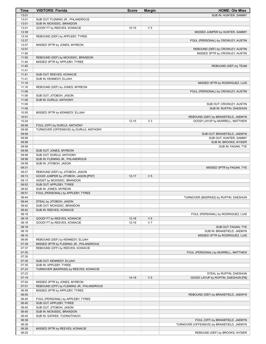| Time           | <b>VISITORS: Florida</b>                                   | <b>Score</b> | <b>Margin</b>  | <b>HOME: Ole Miss</b>                      |
|----------------|------------------------------------------------------------|--------------|----------------|--------------------------------------------|
| 13:01          |                                                            |              |                | SUB IN: HUNTER, SAMMY                      |
| 13:01          | SUB OUT: FLEMING JR., PHLANDROUS                           |              |                |                                            |
| 13:01          | SUB IN: MCKISSIC, BRANDON                                  |              |                |                                            |
| 13:01          | GOOD! FT by REEVES, KOWACIE                                | $10 - 15$    | V <sub>5</sub> |                                            |
| 12:38          |                                                            |              |                | MISSED JUMPER by HUNTER, SAMMY             |
| 12:34          | REBOUND (DEF) by APPLEBY, TYREE                            |              |                |                                            |
| 12:27          |                                                            |              |                | FOUL (PERSONAL) by CROWLEY, AUSTIN         |
| 12:07          | MISSED 3PTR by JONES, MYREON                               |              |                |                                            |
| 12:07          |                                                            |              |                | REBOUND (DEF) by CROWLEY, AUSTIN           |
| 11:59          |                                                            |              |                | MISSED 3PTR by CROWLEY, AUSTIN             |
| 11:59          | REBOUND (DEF) by MCKISSIC, BRANDON                         |              |                |                                            |
| 11:45<br>11:45 | MISSED 3PTR by APPLEBY, TYREE                              |              |                | REBOUND (DEF) by TEAM                      |
| 11:41          |                                                            |              |                |                                            |
| 11:41          | SUB OUT: REEVES, KOWACIE                                   |              |                |                                            |
| 11:41          | SUB IN: KENNEDY, ELIJAH                                    |              |                |                                            |
| 11:19          |                                                            |              |                | MISSED 3PTR by RODRIGUEZ, LUIS             |
| 11:16          | REBOUND (DEF) by JONES, MYREON                             |              |                |                                            |
| 11:09          |                                                            |              |                | FOUL (PERSONAL) by CROWLEY, AUSTIN         |
| 11:09          | SUB OUT: JITOBOH, JASON                                    |              |                |                                            |
| 11:09          | SUB IN: DURUJI, ANTHONY                                    |              |                |                                            |
| 11:09          |                                                            |              |                | SUB OUT: CROWLEY, AUSTIN                   |
| 11:09          |                                                            |              |                | SUB IN: RUFFIN, DAESHUN                    |
| 10:55          | MISSED 3PTR by KENNEDY, ELIJAH                             |              |                |                                            |
| 10:51          |                                                            |              |                | REBOUND (DEF) by BRAKEFIELD, JAEMYN        |
| 10:24          |                                                            | $12 - 15$    | V <sub>3</sub> | GOOD! LAYUP by MURRELL, MATTHEW            |
| 09:58          | FOUL (OFF) by DURUJI, ANTHONY                              |              |                |                                            |
| 09:58          | TURNOVER (OFFENSIVE) by DURUJI, ANTHONY                    |              |                |                                            |
| 09:58          |                                                            |              |                | SUB OUT: BRAKEFIELD, JAEMYN                |
| 09:58          |                                                            |              |                | SUB OUT: HUNTER, SAMMY                     |
| 09:58          |                                                            |              |                | SUB IN: BROOKS, NYSIER                     |
| 09:58          |                                                            |              |                | SUB IN: FAGAN, TYE                         |
| 09:58          | SUB OUT: JONES, MYREON                                     |              |                |                                            |
| 09:58          | SUB OUT: DURUJI, ANTHONY                                   |              |                |                                            |
| 09:58          | SUB IN: FLEMING JR., PHLANDROUS                            |              |                |                                            |
| 09:58          | SUB IN: JITOBOH, JASON                                     |              |                |                                            |
| 09:31          |                                                            |              |                | MISSED 3PTR by FAGAN, TYE                  |
| 09:27          | REBOUND (DEF) by JITOBOH, JASON                            |              |                |                                            |
| 09:13          | GOOD! JUMPER by JITOBOH, JASON [PNT]                       | $12 - 17$    | V <sub>5</sub> |                                            |
| 09:13          | ASSIST by MCKISSIC, BRANDON                                |              |                |                                            |
| 08:52          | SUB OUT: APPLEBY, TYREE                                    |              |                |                                            |
| 08:52          | SUB IN: JONES, MYREON                                      |              |                |                                            |
| 08:51          | FOUL (PERSONAL) by APPLEBY, TYREE                          |              |                |                                            |
| 08:44          |                                                            |              |                | TURNOVER (BADPASS) by RUFFIN, DAESHUN      |
| 08:44          | STEAL by JITOBOH, JASON                                    |              |                |                                            |
| 08:42          | SUB OUT: MCKISSIC, BRANDON                                 |              |                |                                            |
| 08:42          | SUB IN: REEVES, KOWACIE                                    |              |                | FOUL (PERSONAL) by RODRIGUEZ, LUIS         |
| 08:18<br>08:18 |                                                            | $12 - 18$    | $V_6$          |                                            |
| 08:18          | GOOD! FT by REEVES, KOWACIE<br>GOOD! FT by REEVES, KOWACIE | $12 - 19$    | V <sub>7</sub> |                                            |
| 08:18          |                                                            |              |                | SUB OUT: FAGAN, TYE                        |
| 08:18          |                                                            |              |                | SUB IN: BRAKEFIELD, JAEMYN                 |
| 08:10          |                                                            |              |                | MISSED 3PTR by RODRIGUEZ, LUIS             |
| 08:06          | REBOUND (DEF) by KENNEDY, ELIJAH                           |              |                |                                            |
| 07:39          | MISSED 3PTR by FLEMING JR., PHLANDROUS                     |              |                |                                            |
| 07:37          | REBOUND (OFF) by REEVES, KOWACIE                           |              |                |                                            |
| 07:35          |                                                            |              |                | FOUL (PERSONAL) by MURRELL, MATTHEW        |
| 07:35          |                                                            |              |                |                                            |
| 07:35          | SUB OUT: KENNEDY, ELIJAH                                   |              |                |                                            |
| 07:35          | SUB IN: APPLEBY, TYREE                                     |              |                |                                            |
| 07:23          | TURNOVER (BADPASS) by REEVES, KOWACIE                      |              |                |                                            |
| 07:23          |                                                            |              |                | STEAL by RUFFIN, DAESHUN                   |
| 07:19          |                                                            | $14-19$      | V <sub>5</sub> | GOOD! LAYUP by RUFFIN, DAESHUN [FB]        |
| 07:04          | MISSED 3PTR by JONES, MYREON                               |              |                |                                            |
| 07:01          | REBOUND (OFF) by FLEMING JR., PHLANDROUS                   |              |                |                                            |
| 06:59          | MISSED 3PTR by APPLEBY, TYREE                              |              |                |                                            |
| 06:55          |                                                            |              |                | REBOUND (DEF) by BRAKEFIELD, JAEMYN        |
| 06:45          | FOUL (PERSONAL) by APPLEBY, TYREE                          |              |                |                                            |
| 06:45          | SUB OUT: APPLEBY, TYREE                                    |              |                |                                            |
| 06:45          | SUB OUT: JITOBOH, JASON                                    |              |                |                                            |
| 06:45          | SUB IN: MCKISSIC, BRANDON                                  |              |                |                                            |
| 06:45          | SUB IN: GATKEK, TUONGTHACH                                 |              |                |                                            |
| 06:39          |                                                            |              |                | FOUL (OFF) by BRAKEFIELD, JAEMYN           |
| 06:39          |                                                            |              |                | TURNOVER (OFFENSIVE) by BRAKEFIELD, JAEMYN |
| 06:28          | MISSED 3PTR by REEVES, KOWACIE                             |              |                |                                            |
| 06:25          |                                                            |              |                | REBOUND (DEF) by BROOKS, NYSIER            |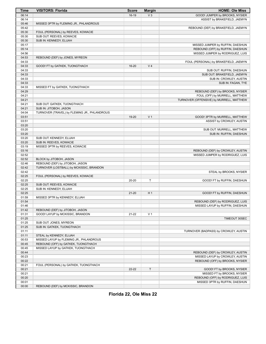| Time  | <b>VISITORS: Florida</b>                     | <b>Score</b> | <b>Margin</b>  | <b>HOME: Ole Miss</b>                    |
|-------|----------------------------------------------|--------------|----------------|------------------------------------------|
| 06:14 |                                              | $16-19$      | V <sub>3</sub> | GOOD! JUMPER by BROOKS, NYSIER           |
| 06:14 |                                              |              |                | ASSIST by BRAKEFIELD, JAEMYN             |
| 05:46 | MISSED 3PTR by FLEMING JR., PHLANDROUS       |              |                |                                          |
| 05:42 |                                              |              |                | REBOUND (DEF) by BRAKEFIELD, JAEMYN      |
| 05:30 | FOUL (PERSONAL) by REEVES, KOWACIE           |              |                |                                          |
| 05:30 | SUB OUT: REEVES, KOWACIE                     |              |                |                                          |
| 05:30 | SUB IN: KENNEDY, ELIJAH                      |              |                |                                          |
| 05:17 |                                              |              |                | MISSED JUMPER by RUFFIN, DAESHUN         |
| 05:14 |                                              |              |                | REBOUND (OFF) by RUFFIN, DAESHUN         |
| 04:56 |                                              |              |                | MISSED JUMPER by RODRIGUEZ, LUIS         |
| 04:53 | REBOUND (DEF) by JONES, MYREON               |              |                |                                          |
| 04:33 |                                              |              |                | FOUL (PERSONAL) by BRAKEFIELD, JAEMYN    |
| 04:33 | GOOD! FT by GATKEK, TUONGTHACH               | $16 - 20$    | V <sub>4</sub> |                                          |
| 04:33 |                                              |              |                | SUB OUT: RUFFIN, DAESHUN                 |
| 04:33 |                                              |              |                | SUB OUT: BRAKEFIELD, JAEMYN              |
| 04:33 |                                              |              |                | SUB IN: CROWLEY, AUSTIN                  |
| 04:33 |                                              |              |                | SUB IN: FAGAN, TYE                       |
| 04:33 | MISSED FT by GATKEK, TUONGTHACH              |              |                |                                          |
| 04:29 |                                              |              |                | REBOUND (DEF) by BROOKS, NYSIER          |
| 04:21 |                                              |              |                | FOUL (OFF) by MURRELL, MATTHEW           |
| 04:21 |                                              |              |                | TURNOVER (OFFENSIVE) by MURRELL, MATTHEW |
| 04:21 | SUB OUT: GATKEK, TUONGTHACH                  |              |                |                                          |
| 04:21 | SUB IN: JITOBOH, JASON                       |              |                |                                          |
| 04:04 | TURNOVER (TRAVEL) by FLEMING JR., PHLANDROUS |              |                |                                          |
| 03:51 |                                              | 19-20        | V <sub>1</sub> | GOOD! 3PTR by MURRELL, MATTHEW           |
| 03:51 |                                              |              |                | ASSIST by CROWLEY, AUSTIN                |
| 03:20 |                                              |              |                |                                          |
| 03:20 |                                              |              |                | SUB OUT: MURRELL, MATTHEW                |
| 03:20 |                                              |              |                | SUB IN: RUFFIN, DAESHUN                  |
| 03:20 | SUB OUT: KENNEDY, ELIJAH                     |              |                |                                          |
| 03:20 | SUB IN: REEVES, KOWACIE                      |              |                |                                          |
| 03:19 | MISSED 3PTR by REEVES, KOWACIE               |              |                |                                          |
| 03:16 |                                              |              |                | REBOUND (DEF) by CROWLEY, AUSTIN         |
| 02:52 |                                              |              |                | MISSED JUMPER by RODRIGUEZ, LUIS         |
| 02:52 | BLOCK by JITOBOH, JASON                      |              |                |                                          |
| 02:46 | REBOUND (DEF) by JITOBOH, JASON              |              |                |                                          |
| 02:42 | TURNOVER (LOSTBALL) by MCKISSIC, BRANDON     |              |                |                                          |
| 02:42 |                                              |              |                | STEAL by BROOKS, NYSIER                  |
| 02:25 | FOUL (PERSONAL) by REEVES, KOWACIE           |              |                |                                          |
| 02:25 |                                              | 20-20        | T              | GOOD! FT by RUFFIN, DAESHUN              |
| 02:25 | SUB OUT: REEVES, KOWACIE                     |              |                |                                          |
| 02:25 | SUB IN: KENNEDY, ELIJAH                      |              |                |                                          |
| 02:25 |                                              | $21 - 20$    | H <sub>1</sub> | GOOD! FT by RUFFIN, DAESHUN              |
| 01:59 | MISSED 3PTR by KENNEDY, ELIJAH               |              |                |                                          |
| 01:54 |                                              |              |                | REBOUND (DEF) by RODRIGUEZ, LUIS         |
| 01:46 |                                              |              |                | MISSED LAYUP by RUFFIN, DAESHUN          |
| 01:42 | REBOUND (DEF) by JITOBOH, JASON              |              |                |                                          |
| 01:31 | GOOD! LAYUP by MCKISSIC, BRANDON             | $21 - 22$    | V <sub>1</sub> |                                          |
| 01:25 |                                              |              |                | TIMEOUT 30SEC                            |
| 01:25 | SUB OUT: JONES, MYREON                       |              |                |                                          |
| 01:25 | SUB IN: GATKEK, TUONGTHACH                   |              |                |                                          |
| 01:11 |                                              |              |                | TURNOVER (BADPASS) by CROWLEY, AUSTIN    |
| 01:11 | STEAL by KENNEDY, ELIJAH                     |              |                |                                          |
| 00:53 | MISSED LAYUP by FLEMING JR., PHLANDROUS      |              |                |                                          |
| 00:45 | REBOUND (OFF) by GATKEK, TUONGTHACH          |              |                |                                          |
| 00:45 | MISSED LAYUP by GATKEK, TUONGTHACH           |              |                |                                          |
| 00:44 |                                              |              |                | REBOUND (DEF) by CROWLEY, AUSTIN         |
| 00:23 |                                              |              |                | MISSED LAYUP by CROWLEY, AUSTIN          |
| 00:22 |                                              |              |                | REBOUND (OFF) by BROOKS, NYSIER          |
| 00:21 | FOUL (PERSONAL) by GATKEK, TUONGTHACH        |              |                |                                          |
| 00:21 |                                              | 22-22        | T              | GOOD! FT by BROOKS, NYSIER               |
| 00:21 |                                              |              |                | MISSED FT by BROOKS, NYSIER              |
| 00:20 |                                              |              |                | REBOUND (OFF) by RODRIGUEZ, LUIS         |
| 00:01 |                                              |              |                | MISSED 3PTR by RUFFIN, DAESHUN           |
| 00:00 | REBOUND (DEF) by MCKISSIC, BRANDON           |              |                |                                          |

**Florida 22, Ole Miss 22**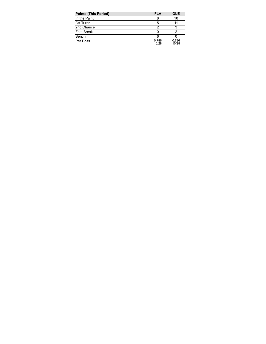| <b>Points (This Period)</b> | <b>FLA</b>     | <b>OLE</b>     |
|-----------------------------|----------------|----------------|
| In the Paint                |                | 10             |
| Off Turns                   | 5              |                |
| 2nd Chance                  |                |                |
| Fast Break                  |                |                |
| Bench                       |                |                |
| Per Poss                    | 0.786<br>10/28 | 0.786<br>10/28 |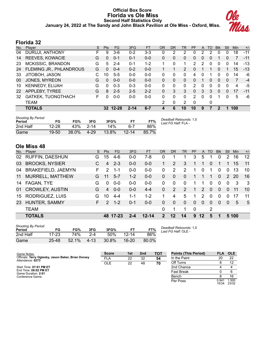## **Official Box Score Florida vs Ole Miss Second Half Statistics Only January 24, 2022 at The Sandy and John Black Pavilion at Ole Miss - Oxford, Miss.**



## **Florida 32**

| No. | Plaver                  | S  | <b>Pts</b> | FG       | 3FG      | <b>FT</b> | <b>OR</b> | DR | TR       | PF            | A        | TO | <b>B</b> lk  | Stl      | Min | $+/-$ |
|-----|-------------------------|----|------------|----------|----------|-----------|-----------|----|----------|---------------|----------|----|--------------|----------|-----|-------|
| 04  | DURUJI, ANTHONY         | F. | 9          | 3-6      | $0 - 2$  | $3 - 3$   | 0         | 2  | 2        | 0             | 2        | 2  | 0            | $\Omega$ | 18  | $-11$ |
| 14  | REEVES, KOWACIE         | G  | 0          | $0 - 1$  | $0 - 1$  | $0 - 0$   | 0         | 0  | 0        | 0             | $\Omega$ | 0  |              | 0        |     | $-11$ |
| 23  | MCKISSIC, BRANDON       | G  | 5          | $2 - 4$  | $0 - 1$  | $1 - 2$   | 1         | 0  | 1        | 2             | 2        | 0  | 0            | 0        | 14  | $-13$ |
| 24  | FLEMING JR., PHLANDROUS | G  | 0          | $0 - 4$  | $0 - 2$  | $0 - 0$   |           |    | 2        | 0             |          |    | 0            |          | 15  | $-13$ |
| 33  | JITOBOH, JASON          | C  | 10         | $5-5$    | $0 - 0$  | $0-0$     | 0         | 0  | 0        | 4             | 0        |    | 0            | 0        | 14  | -6    |
| 00  | JONES, MYREON           | G  | 0          | $0 - 0$  | $0 - 0$  | $0 - 0$   | 0         | 0  | 0        | 0             |          | 0  | $\Omega$     | 0        | 7   | $-4$  |
| 10  | KENNEDY, ELIJAH         | G  | 0          | $0 - 3$  | $0 - 3$  | $0 - 0$   | 0         | 0  | 0        | 2             | 0        | O  | 0            | 0        | 4   | -5    |
| 22  | APPLEBY, TYREE          | G  | 8          | $2 - 5$  | $2 - 5$  | $2 - 2$   | $\Omega$  | 3  | 3        | $\mathbf{0}$  | 3        | 3  | $\mathbf{0}$ | 0        | 17  | $-11$ |
| 32  | GATKEK, TUONGTHACH      | F. | 0          | $0 - 0$  | $0 - 0$  | $0 - 0$   | 0         | 0  | $\Omega$ | $\mathcal{P}$ | 0        | 0  |              | 0        | 5   | -6    |
|     | TEAM                    |    |            |          |          |           | 2         | 0  | 2        | $\Omega$      |          | 0  |              |          |     |       |
|     | <b>TOTALS</b>           |    |            | 32 12-28 | $2 - 14$ | $6 - 7$   | 4         | 6  | 10       | 10            | 9        |    | 2            |          | 100 |       |

| <b>Shooting By Period</b><br>Period | FG        | FG%   | 3FG      | 3FG%     | FТ        | FT%   | Deadball Rebounds: 1,0<br>Last FG Half: FLA - |
|-------------------------------------|-----------|-------|----------|----------|-----------|-------|-----------------------------------------------|
| 2nd Half                            | $12 - 28$ | 43%   | $2 - 14$ | 14%      | հ-7       | 86%   |                                               |
| Game                                | 19-50     | 38.0% | $4 - 29$ | $13.8\%$ | $12 - 14$ | 85.7% |                                               |

# **Ole Miss 48**

| No. | Player                    | S. | <b>Pts</b>    | FG.      | 3FG     | <b>FT</b> | OR           | <b>DR</b>    | TR       | <b>PF</b>   | A        | TO       | <b>B</b> lk | Stl           | Min   | $+/-$ |
|-----|---------------------------|----|---------------|----------|---------|-----------|--------------|--------------|----------|-------------|----------|----------|-------------|---------------|-------|-------|
| 02  | RUFFIN, DAESHUN           | G. | 15            | 4-6      | $0 - 0$ | 7-8       | 0            |              |          | 3           | 5        |          | 0           | 2             | 16    | 12    |
| 03  | <b>BROOKS, NYSIER</b>     | С  | 4             | $2 - 3$  | $0 - 0$ | $0-0$     | $\mathbf 1$  | 2            | 3        | 1           | 1        | 0        |             |               | 15    | 11    |
| 04  | <b>BRAKEFIELD, JAEMYN</b> | F. | 2             | $1 - 1$  | $0 - 0$ | $0-0$     | $\Omega$     | 2            | 2        | 1           | $\Omega$ |          | $\Omega$    | $\Omega$      | 13    | 10    |
| 11  | MURRELL, MATTHEW          | G  | 11            | $5 - 7$  | $1 - 2$ | $0-0$     | 0            | $\Omega$     | $\Omega$ | 1           |          | 1        | $\Omega$    | $\mathcal{P}$ | 20    | 16    |
| 14  | FAGAN, TYE                | G  | 0             | $0 - 0$  | $0 - 0$ | $0 - 0$   | 0            | $\Omega$     | $\Omega$ |             |          | 0        | $\Omega$    | $\Omega$      | -3    | -3    |
| 01  | <b>CROWLEY, AUSTIN</b>    | G  | 4             | $0 - 0$  | $0 - 0$ | $4 - 4$   | 0            | 2            | 2        | 1           | 2        | $\Omega$ | $\Omega$    | $\Omega$      | 11    | 10    |
| 15  | RODRIGUEZ, LUIS           | G  | 10            | $4 - 4$  | 1-1     | $1 - 2$   |              | 4            | 5        | 1           | 2        | 0        | $\Omega$    | $\Omega$      | 17    | 11    |
| 23  | HUNTER, SAMMY             | F. | $\mathcal{P}$ | $1 - 2$  | $0 - 1$ | $0 - 0$   | $\Omega$     | $\mathbf{0}$ | $\Omega$ | $\Omega$    | $\Omega$ | $\Omega$ | $\Omega$    | $\Omega$      | 5     | -5    |
|     | <b>TEAM</b>               |    |               |          |         |           | $\Omega$     | 1            |          | $\mathbf 0$ |          | 2        |             |               |       |       |
|     | <b>TOTALS</b>             |    |               | 48 17-23 | $2 - 4$ | $12 - 14$ | $\mathbf{P}$ | 12           | 14       | 9           | 12       | 5        |             |               | 5 100 |       |

| <b>Shooting By Period</b><br>Period | FG    | FG%   | 3FG       | 3FG%  |           | FT%   |
|-------------------------------------|-------|-------|-----------|-------|-----------|-------|
| 2nd Half                            | 17-23 | 74%   | $2 - 4$   | 50%   | 12-14     | 86%   |
| Game                                | 25-48 | 52.1% | $4 - 1.3$ | 30.8% | $16 - 20$ | 80.0% |

*Deadball Rebounds:* 1,0 *Last FG Half:* OLE -

| Game Notes:                                                             | <b>Score</b> | 1st | 2 <sub>nd</sub> | TOT | <b>Points (This Period)</b> | <b>FLA</b>     | <b>OLE</b>    |
|-------------------------------------------------------------------------|--------------|-----|-----------------|-----|-----------------------------|----------------|---------------|
| Officials: Terry Oglesby, Jason Baker, Brian Dorsey<br>Attendance: 6273 | <b>FLA</b>   | 22  | 32              | 54  | In the Paint                | 20             | 22            |
|                                                                         | <b>OLE</b>   | 22  | 48              | 70  | Off Turns                   |                | 12            |
| Start Time: 07:01 PM ET                                                 |              |     |                 |     | 2nd Chance                  |                |               |
| End Time: 09:02 PM ET<br>Game Duration: 2:01                            |              |     |                 |     | <b>Fast Break</b>           |                |               |
| Conference Game:                                                        |              |     |                 |     | Bench                       |                | 16            |
|                                                                         |              |     |                 |     | Per Poss                    | 0.941<br>15/34 | .500<br>23/32 |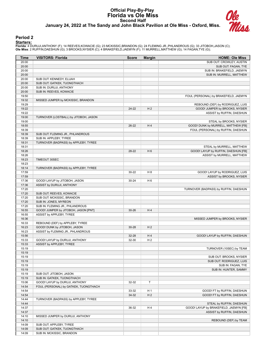#### **Official Play-By-Play Florida vs Ole Miss Second Half January 24, 2022 at The Sandy and John Black Pavilion at Ole Miss - Oxford, Miss.**



#### **Period 2**

#### **Starters:**

Florida: 4 DURUJI,ANTHONY (F); 14 REEVES,KOWACIE (G); 23 MCKISSIC,BRANDON (G); 24 FLEMING JR.,PHLANDROUS (G); 33 JITOBOH,JASON (C);<br>**Ole Miss**: 2 RUFFIN,DAESHUN (G); 3 BROOKS,NYSIER (C); 4 BRAKEFIELD,JAEMYN (F); 11 MURRELL

| Time           | <b>VISITORS: Florida</b>              | <b>Score</b> | <b>Margin</b>  | <b>HOME: Ole Miss</b>                                                     |
|----------------|---------------------------------------|--------------|----------------|---------------------------------------------------------------------------|
| 20:00          |                                       |              |                | SUB OUT: CROWLEY, AUSTIN                                                  |
| 20:00          |                                       |              |                | SUB OUT: FAGAN, TYE                                                       |
| 20:00          |                                       |              |                | SUB IN: BRAKEFIELD, JAEMYN                                                |
| 20:00          |                                       |              |                | SUB IN: MURRELL, MATTHEW                                                  |
| 20:00          | SUB OUT: KENNEDY, ELIJAH              |              |                |                                                                           |
| 20:00          | SUB OUT: GATKEK, TUONGTHACH           |              |                |                                                                           |
| 20:00          | SUB IN: DURUJI, ANTHONY               |              |                |                                                                           |
| 20:00          | SUB IN: REEVES, KOWACIE               |              |                |                                                                           |
| 19:50          |                                       |              |                | FOUL (PERSONAL) by BRAKEFIELD, JAEMYN                                     |
| 19:32          | MISSED JUMPER by MCKISSIC, BRANDON    |              |                |                                                                           |
| 19:29          |                                       |              |                | REBOUND (DEF) by RODRIGUEZ, LUIS                                          |
| 19:22          |                                       | 24-22        | H <sub>2</sub> | GOOD! JUMPER by BROOKS, NYSIER                                            |
| 19:22          |                                       |              |                | ASSIST by RUFFIN, DAESHUN                                                 |
| 19:00          | TURNOVER (LOSTBALL) by JITOBOH, JASON |              |                |                                                                           |
| 19:00<br>18:55 |                                       |              | H4             | STEAL by BROOKS, NYSIER                                                   |
| 18:39          |                                       | $26-22$      |                | GOOD! DUNK by MURRELL, MATTHEW [FB]<br>FOUL (PERSONAL) by RUFFIN, DAESHUN |
| 18:39          | SUB OUT: FLEMING JR., PHLANDROUS      |              |                |                                                                           |
| 18:39          | SUB IN: APPLEBY, TYREE                |              |                |                                                                           |
| 18:31          | TURNOVER (BADPASS) by APPLEBY, TYREE  |              |                |                                                                           |
| 18:31          |                                       |              |                | STEAL by MURRELL, MATTHEW                                                 |
| 18:26          |                                       | 28-22        | H <sub>6</sub> | GOOD! LAYUP by RUFFIN, DAESHUN [FB]                                       |
| 18:26          |                                       |              |                | ASSIST by MURRELL, MATTHEW                                                |
| 18:23          | TIMEOUT 30SEC                         |              |                |                                                                           |
| 18:23          |                                       |              |                |                                                                           |
| 18:14          | TURNOVER (BADPASS) by APPLEBY, TYREE  |              |                |                                                                           |
| 17:59          |                                       | $30 - 22$    | H <sub>8</sub> | GOOD! LAYUP by RODRIGUEZ, LUIS                                            |
| 17:59          |                                       |              |                | ASSIST by BROOKS, NYSIER                                                  |
| 17:36          | GOOD! LAYUP by JITOBOH, JASON         | $30 - 24$    | H <sub>6</sub> |                                                                           |
| 17:36          | ASSIST by DURUJI, ANTHONY             |              |                |                                                                           |
| 17:20          |                                       |              |                | TURNOVER (BADPASS) by RUFFIN, DAESHUN                                     |
| 17:20          | SUB OUT: REEVES, KOWACIE              |              |                |                                                                           |
| 17:20          | SUB OUT: MCKISSIC, BRANDON            |              |                |                                                                           |
| 17:20          | SUB IN: JONES, MYREON                 |              |                |                                                                           |
| 17:20          | SUB IN: FLEMING JR., PHLANDROUS       |              |                |                                                                           |
| 16:55          | GOOD! JUMPER by JITOBOH, JASON [PNT]  | $30 - 26$    | H4             |                                                                           |
| 16:55          | ASSIST by APPLEBY, TYREE              |              |                |                                                                           |
| 16:36          |                                       |              |                | MISSED JUMPER by BROOKS, NYSIER                                           |
| 16:33          | REBOUND (DEF) by APPLEBY, TYREE       |              |                |                                                                           |
| 16:23          | GOOD! DUNK by JITOBOH, JASON          | 30-28        | H <sub>2</sub> |                                                                           |
| 16:23          | ASSIST by FLEMING JR., PHLANDROUS     |              |                |                                                                           |
| 15:56          |                                       | 32-28        | H4             | GOOD! LAYUP by RUFFIN, DAESHUN                                            |
| 15:33          | GOOD! LAYUP by DURUJI, ANTHONY        | 32-30        | H <sub>2</sub> |                                                                           |
| 15:33          | ASSIST by APPLEBY, TYREE              |              |                |                                                                           |
| 15:19<br>15:19 |                                       |              |                | TURNOVER (10SEC) by TEAM                                                  |
| 15:19          |                                       |              |                | SUB OUT: BROOKS, NYSIER                                                   |
| 15:19          |                                       |              |                | SUB OUT: RODRIGUEZ, LUIS                                                  |
| 15:19          |                                       |              |                | SUB IN: FAGAN, TYE                                                        |
| 15:19          |                                       |              |                | SUB IN: HUNTER, SAMMY                                                     |
| 15:19          | SUB OUT: JITOBOH, JASON               |              |                |                                                                           |
| 15:19          | SUB IN: GATKEK, TUONGTHACH            |              |                |                                                                           |
| 15:06          | GOOD! LAYUP by DURUJI, ANTHONY        | 32-32        | T              |                                                                           |
| 14:54          | FOUL (PERSONAL) by GATKEK, TUONGTHACH |              |                |                                                                           |
| 14:54          |                                       | 33-32        | H <sub>1</sub> | GOOD! FT by RUFFIN, DAESHUN                                               |
| 14:54          |                                       | 34-32        | H <sub>2</sub> | GOOD! FT by RUFFIN, DAESHUN                                               |
| 14:44          | TURNOVER (BADPASS) by APPLEBY, TYREE  |              |                |                                                                           |
| 14:44          |                                       |              |                | STEAL by RUFFIN, DAESHUN                                                  |
| 14:37          |                                       | 36-32        | H4             | GOOD! LAYUP by BRAKEFIELD, JAEMYN [FB]                                    |
| 14:37          |                                       |              |                | ASSIST by RUFFIN, DAESHUN                                                 |
| 14:10          | MISSED JUMPER by DURUJI, ANTHONY      |              |                |                                                                           |
| 14:10          |                                       |              |                | REBOUND (DEF) by TEAM                                                     |
| 14:09          | SUB OUT: APPLEBY, TYREE               |              |                |                                                                           |
| 14:09          | SUB OUT: GATKEK, TUONGTHACH           |              |                |                                                                           |
| 14:09          | SUB IN: MCKISSIC, BRANDON             |              |                |                                                                           |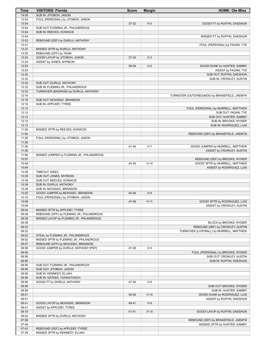| Time           | <b>VISITORS: Florida</b>                 | <b>Score</b> | <b>Margin</b>  | <b>HOME: Ole Miss</b>                        |
|----------------|------------------------------------------|--------------|----------------|----------------------------------------------|
| 14:09          | SUB IN: JITOBOH, JASON                   |              |                |                                              |
| 13:54          | FOUL (PERSONAL) by JITOBOH, JASON        |              |                |                                              |
| 13:54          |                                          | 37-32        | H <sub>5</sub> | GOOD! FT by RUFFIN, DAESHUN                  |
| 13:54          | SUB OUT: FLEMING JR., PHLANDROUS         |              |                |                                              |
| 13:54          | SUB IN: REEVES, KOWACIE                  |              |                |                                              |
| 13:54          |                                          |              |                | MISSED FT by RUFFIN, DAESHUN                 |
| 13:53          | REBOUND (DEF) by DURUJI, ANTHONY         |              |                |                                              |
| 13:31          |                                          |              |                | FOUL (PERSONAL) by FAGAN, TYE                |
| 13:27          | MISSED 3PTR by DURUJI, ANTHONY           |              |                |                                              |
| 13:25          | REBOUND (OFF) by TEAM                    |              |                |                                              |
| 13:24          | GOOD! LAYUP by JITOBOH, JASON            | 37-34        | $H_3$          |                                              |
| 13:24          | ASSIST by JONES, MYREON                  |              |                |                                              |
| 12:53          |                                          | 39-34        | H <sub>5</sub> | GOOD! DUNK by HUNTER, SAMMY                  |
| 12:53          |                                          |              |                | ASSIST by FAGAN, TYE                         |
| 12:32          |                                          |              |                | SUB OUT: RUFFIN, DAESHUN                     |
| 12:32          |                                          |              |                | SUB IN: CROWLEY, AUSTIN                      |
| 12:32          | SUB OUT: DURUJI, ANTHONY                 |              |                |                                              |
| 12:32          | SUB IN: FLEMING JR., PHLANDROUS          |              |                |                                              |
| 12:32          | TURNOVER (BADPASS) by DURUJI, ANTHONY    |              |                |                                              |
| 12:16          |                                          |              |                | TURNOVER (OUTOFBOUNDS) by BRAKEFIELD, JAEMYN |
| 12:16          | SUB OUT: MCKISSIC, BRANDON               |              |                |                                              |
| 12:16          | SUB IN: APPLEBY, TYREE                   |              |                |                                              |
| 12:12          |                                          |              |                | FOUL (PERSONAL) by MURRELL, MATTHEW          |
| 12:12          |                                          |              |                | SUB OUT: FAGAN, TYE                          |
| 12:12          |                                          |              |                | SUB OUT: HUNTER, SAMMY                       |
| 12:12          |                                          |              |                | SUB IN: BROOKS, NYSIER                       |
| 12:12<br>11:58 |                                          |              |                | SUB IN: RODRIGUEZ, LUIS                      |
| 11:54          | MISSED 3PTR by REEVES, KOWACIE           |              |                |                                              |
| 11:38          | FOUL (PERSONAL) by JITOBOH, JASON        |              |                | REBOUND (DEF) by BRAKEFIELD, JAEMYN          |
| 11:38          |                                          |              |                |                                              |
| 11:36          |                                          | 41-34        | H <sub>7</sub> | GOOD! JUMPER by MURRELL, MATTHEW             |
| 11:36          |                                          |              |                | ASSIST by CROWLEY, AUSTIN                    |
| 11:06          | MISSED JUMPER by FLEMING JR., PHLANDROUS |              |                |                                              |
| 10:57          |                                          |              |                | REBOUND (DEF) by BROOKS, NYSIER              |
| 10:49          |                                          | 44-34        | H 10           | GOOD! 3PTR by MURRELL, MATTHEW               |
| 10:49          |                                          |              |                | ASSIST by RODRIGUEZ, LUIS                    |
| 10:39          | TIMEOUT 30SEC                            |              |                |                                              |
| 10:39          | SUB OUT: JONES, MYREON                   |              |                |                                              |
| 10:39          | SUB OUT: REEVES, KOWACIE                 |              |                |                                              |
| 10:39          | SUB IN: DURUJI, ANTHONY                  |              |                |                                              |
| 10:39          | SUB IN: MCKISSIC, BRANDON                |              |                |                                              |
| 10:25          | GOOD! JUMPER by MCKISSIC, BRANDON        | 44-36        | H 8            |                                              |
| 10:10          | FOUL (PERSONAL) by JITOBOH, JASON        |              |                |                                              |
| 10:09          |                                          | 47-36        | H 11           | GOOD! 3PTR by RODRIGUEZ, LUIS                |
| 10:09          |                                          |              |                | ASSIST by CROWLEY, AUSTIN                    |
| 09:44          | MISSED 3PTR by APPLEBY, TYREE            |              |                |                                              |
| 09:38          | REBOUND (OFF) by FLEMING JR., PHLANDROUS |              |                |                                              |
| 09:38          | MISSED LAYUP by FLEMING JR., PHLANDROUS  |              |                |                                              |
| 09:38          |                                          |              |                | BLOCK by BROOKS, NYSIER                      |
| 09:32          |                                          |              |                | REBOUND (DEF) by CROWLEY, AUSTIN             |
| 09:22          |                                          |              |                | TURNOVER (LOSTBALL) by MURRELL, MATTHEW      |
| 09:22          | STEAL by FLEMING JR., PHLANDROUS         |              |                |                                              |
| 09:02          | MISSED 3PTR by FLEMING JR., PHLANDROUS   |              |                |                                              |
| 08:57          | REBOUND (OFF) by MCKISSIC, BRANDON       |              |                |                                              |
| 08:56          | GOOD! JUMPER by DURUJI, ANTHONY [PNT]    | 47-38        | H <sub>9</sub> |                                              |
| 08:56          |                                          |              |                | FOUL (PERSONAL) by BROOKS, NYSIER            |
| 08:56          |                                          |              |                | SUB OUT: CROWLEY, AUSTIN                     |
| 08:56          |                                          |              |                | SUB IN: RUFFIN, DAESHUN                      |
| 08:56          | SUB OUT: FLEMING JR., PHLANDROUS         |              |                |                                              |
| 08:56          | SUB OUT: JITOBOH, JASON                  |              |                |                                              |
| 08:56          | SUB IN: KENNEDY, ELIJAH                  |              |                |                                              |
| 08:56          | SUB IN: GATKEK, TUONGTHACH               |              |                |                                              |
| 08:56          | GOOD! FT by DURUJI, ANTHONY              | 47-39        | H <sub>8</sub> |                                              |
| 08:56          |                                          |              |                | SUB OUT: BROOKS, NYSIER                      |
| 08:56          |                                          |              |                | SUB IN: HUNTER, SAMMY                        |
| 08:51          |                                          | 49-39        | H 10           | GOOD! DUNK by RODRIGUEZ, LUIS                |
| 08:51          |                                          |              |                | ASSIST by RUFFIN, DAESHUN                    |
| 08:41          | GOOD! LAYUP by MCKISSIC, BRANDON         | 49-41        | H 8            |                                              |
| 08:41          | ASSIST by APPLEBY, TYREE                 |              |                |                                              |
| 08:18          |                                          | $51 - 41$    | H 10           | GOOD! LAYUP by RUFFIN, DAESHUN               |
| 08:02          | MISSED 3PTR by DURUJI, ANTHONY           |              |                |                                              |
| 07:58          |                                          |              |                | REBOUND (DEF) by BRAKEFIELD, JAEMYN          |
| 07:48          |                                          |              |                | MISSED 3PTR by HUNTER, SAMMY                 |
| 07:43          | REBOUND (DEF) by APPLEBY, TYREE          |              |                |                                              |
| 07:38          | MISSED 3PTR by KENNEDY, ELIJAH           |              |                |                                              |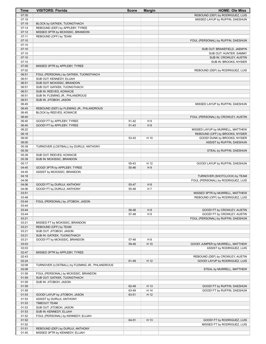| Time           | <b>VISITORS: Florida</b>                                    | <b>Score</b>   | <b>Margin</b>  | <b>HOME: Ole Miss</b>                                      |
|----------------|-------------------------------------------------------------|----------------|----------------|------------------------------------------------------------|
| 07:35          |                                                             |                |                | REBOUND (DEF) by RODRIGUEZ, LUIS                           |
| 07:19          |                                                             |                |                | MISSED LAYUP by RUFFIN, DAESHUN                            |
| 07:19          | BLOCK by GATKEK, TUONGTHACH                                 |                |                |                                                            |
| 07:14          | REBOUND (DEF) by APPLEBY, TYREE                             |                |                |                                                            |
| 07:12          | MISSED 3PTR by MCKISSIC, BRANDON                            |                |                |                                                            |
| 07:11          | REBOUND (OFF) by TEAM                                       |                |                |                                                            |
| 07:10<br>07:10 |                                                             |                |                | FOUL (PERSONAL) by RUFFIN, DAESHUN                         |
| 07:10          |                                                             |                |                | SUB OUT: BRAKEFIELD, JAEMYN                                |
| 07:10          |                                                             |                |                | SUB OUT: HUNTER, SAMMY                                     |
| 07:10          |                                                             |                |                | SUB IN: CROWLEY, AUSTIN                                    |
| 07:10          |                                                             |                |                | SUB IN: BROOKS, NYSIER                                     |
| 07:09          | MISSED 3PTR by APPLEBY, TYREE                               |                |                |                                                            |
| 07:02          |                                                             |                |                | REBOUND (DEF) by RODRIGUEZ, LUIS                           |
| 06:51          | FOUL (PERSONAL) by GATKEK, TUONGTHACH                       |                |                |                                                            |
| 06:51          | SUB OUT: KENNEDY, ELIJAH                                    |                |                |                                                            |
| 06:51          | SUB OUT: MCKISSIC, BRANDON                                  |                |                |                                                            |
| 06:51          | SUB OUT: GATKEK, TUONGTHACH                                 |                |                |                                                            |
| 06:51          | SUB IN: REEVES, KOWACIE                                     |                |                |                                                            |
| 06:51          | SUB IN: FLEMING JR., PHLANDROUS                             |                |                |                                                            |
| 06:51          | SUB IN: JITOBOH, JASON                                      |                |                |                                                            |
| 06:45          | REBOUND (DEF) by FLEMING JR., PHLANDROUS                    |                |                | MISSED LAYUP by RUFFIN, DAESHUN                            |
| 06:45<br>06:45 | BLOCK by REEVES, KOWACIE                                    |                |                |                                                            |
| 06:40          |                                                             |                |                | FOUL (PERSONAL) by CROWLEY, AUSTIN                         |
| 06:40          | GOOD! FT by APPLEBY, TYREE                                  | 51-42          | H9             |                                                            |
| 06:40          | GOOD! FT by APPLEBY, TYREE                                  | 51-43          | H 8            |                                                            |
| 06:22          |                                                             |                |                | MISSED LAYUP by MURRELL, MATTHEW                           |
| 06:18          |                                                             |                |                | REBOUND (OFF) by BROOKS, NYSIER                            |
| 06:00          |                                                             | 53-43          | H 10           | GOOD! DUNK by BROOKS, NYSIER                               |
| 06:00          |                                                             |                |                | ASSIST by RUFFIN, DAESHUN                                  |
| 05:39          | TURNOVER (LOSTBALL) by DURUJI, ANTHONY                      |                |                |                                                            |
| 05:39          |                                                             |                |                | STEAL by RUFFIN, DAESHUN                                   |
| 05:39          | SUB OUT: REEVES, KOWACIE                                    |                |                |                                                            |
| 05:39          | SUB IN: MCKISSIC, BRANDON                                   |                |                |                                                            |
| 05:17          |                                                             | 55-43          | H 12           | GOOD! LAYUP by RUFFIN, DAESHUN                             |
| 04:45<br>04:45 | GOOD! 3PTR by APPLEBY, TYREE<br>ASSIST by MCKISSIC, BRANDON | 55-46          | H9             |                                                            |
| 04:18          |                                                             |                |                | TURNOVER (SHOTCLOCK) by TEAM                               |
| 04:06          |                                                             |                |                | FOUL (PERSONAL) by RODRIGUEZ, LUIS                         |
| 04:06          | GOOD! FT by DURUJI, ANTHONY                                 | 55-47          | H <sub>8</sub> |                                                            |
| 04:06          | GOOD! FT by DURUJI, ANTHONY                                 | 55-48          | H7             |                                                            |
| 03:51          |                                                             |                |                | MISSED 3PTR by MURRELL, MATTHEW                            |
| 03:48          |                                                             |                |                | REBOUND (OFF) by RODRIGUEZ, LUIS                           |
| 03:44          | FOUL (PERSONAL) by JITOBOH, JASON                           |                |                |                                                            |
| 03:44          |                                                             |                |                |                                                            |
| 03:44          |                                                             | 56-48          | H <sub>8</sub> | GOOD! FT by CROWLEY, AUSTIN                                |
| 03:44          |                                                             | 57-48          | H9             | GOOD! FT by CROWLEY, AUSTIN                                |
| 03:21          |                                                             |                |                | FOUL (PERSONAL) by RUFFIN, DAESHUN                         |
| 03:21          | MISSED FT by MCKISSIC, BRANDON<br>REBOUND (OFF) by TEAM     |                |                |                                                            |
| 03:21<br>03:21 | SUB OUT: JITOBOH, JASON                                     |                |                |                                                            |
| 03:21          | SUB IN: GATKEK, TUONGTHACH                                  |                |                |                                                            |
| 03:21          | GOOD! FT by MCKISSIC, BRANDON                               | 57-49          | H 8            |                                                            |
| 03:03          |                                                             | 59-49          | H 10           | GOOD! JUMPER by MURRELL, MATTHEW                           |
| 03:03          |                                                             |                |                | ASSIST by RODRIGUEZ, LUIS                                  |
| 02:47          | MISSED 3PTR by APPLEBY, TYREE                               |                |                |                                                            |
| 02:43          |                                                             |                |                | REBOUND (DEF) by CROWLEY, AUSTIN                           |
| 02:24          |                                                             | 61-49          | H 12           | GOOD! LAYUP by RODRIGUEZ, LUIS                             |
| 02:08          | TURNOVER (LOSTBALL) by FLEMING JR., PHLANDROUS              |                |                |                                                            |
| 02:08          |                                                             |                |                | STEAL by MURRELL, MATTHEW                                  |
| 01:59          | FOUL (PERSONAL) by MCKISSIC, BRANDON                        |                |                |                                                            |
| 01:59          | SUB OUT: GATKEK, TUONGTHACH                                 |                |                |                                                            |
| 01:59          | SUB IN: JITOBOH, JASON                                      |                |                |                                                            |
| 01:59<br>01:59 |                                                             | 62-49          | H 13<br>H 14   | GOOD! FT by RUFFIN, DAESHUN<br>GOOD! FT by RUFFIN, DAESHUN |
| 01:53          | GOOD! LAYUP by JITOBOH, JASON                               | 63-49<br>63-51 | H 12           |                                                            |
| 01:53          | ASSIST by DURUJI, ANTHONY                                   |                |                |                                                            |
| 01:53          | <b>TIMEOUT TEAM</b>                                         |                |                |                                                            |
| 01:53          | SUB OUT: JITOBOH, JASON                                     |                |                |                                                            |
| 01:53          | SUB IN: KENNEDY, ELIJAH                                     |                |                |                                                            |
| 01:52          | FOUL (PERSONAL) by KENNEDY, ELIJAH                          |                |                |                                                            |
| 01:52          |                                                             | 64-51          | H 13           | GOOD! FT by RODRIGUEZ, LUIS                                |
| 01:52          |                                                             |                |                | MISSED FT by RODRIGUEZ, LUIS                               |
| 01:51          | REBOUND (DEF) by DURUJI, ANTHONY                            |                |                |                                                            |
| 01:45          | MISSED 3PTR by KENNEDY, ELIJAH                              |                |                |                                                            |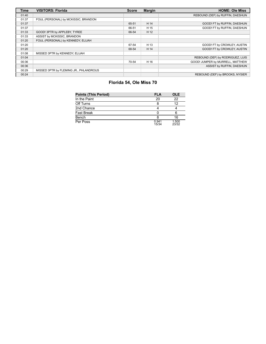| <b>Time</b> | <b>VISITORS: Florida</b>               | <b>Score</b> | <b>Margin</b> | <b>HOME: Ole Miss</b>            |
|-------------|----------------------------------------|--------------|---------------|----------------------------------|
| 01:40       |                                        |              |               | REBOUND (DEF) by RUFFIN, DAESHUN |
| 01:37       | FOUL (PERSONAL) by MCKISSIC, BRANDON   |              |               |                                  |
| 01:37       |                                        | 65-51        | H 14          | GOOD! FT by RUFFIN, DAESHUN      |
| 01:37       |                                        | 66-51        | H 15          | GOOD! FT by RUFFIN, DAESHUN      |
| 01:33       | GOOD! 3PTR by APPLEBY, TYREE           | 66-54        | H 12          |                                  |
| 01:33       | ASSIST by MCKISSIC, BRANDON            |              |               |                                  |
| 01:20       | FOUL (PERSONAL) by KENNEDY, ELIJAH     |              |               |                                  |
| 01:20       |                                        | 67-54        | H 13          | GOOD! FT by CROWLEY, AUSTIN      |
| 01:20       |                                        | 68-54        | H 14          | GOOD! FT by CROWLEY, AUSTIN      |
| 01:08       | MISSED 3PTR by KENNEDY, ELIJAH         |              |               |                                  |
| 01:04       |                                        |              |               | REBOUND (DEF) by RODRIGUEZ, LUIS |
| 00:36       |                                        | 70-54        | H 16          | GOOD! JUMPER by MURRELL, MATTHEW |
| 00:36       |                                        |              |               | ASSIST by RUFFIN, DAESHUN        |
| 00:29       | MISSED 3PTR by FLEMING JR., PHLANDROUS |              |               |                                  |
| 00:24       |                                        |              |               | REBOUND (DEF) by BROOKS, NYSIER  |

# **Florida 54, Ole Miss 70**

| <b>Points (This Period)</b> | <b>FLA</b>     | <b>OLE</b>     |
|-----------------------------|----------------|----------------|
| In the Paint                | 20             | 22             |
| Off Turns                   |                | 12             |
| 2nd Chance                  |                |                |
| <b>Fast Break</b>           |                |                |
| Bench                       |                | 16             |
| Per Poss                    | 0.941<br>15/34 | 1.500<br>23/32 |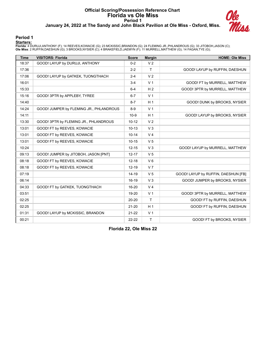#### **Official Scoring/Possession Reference Chart Florida vs Ole Miss Period 1 January 24, 2022 at The Sandy and John Black Pavilion at Ole Miss - Oxford, Miss.**



#### **Period 1**

**Starters:**

Florida: 4 DURUJI,ANTHONY (F); 14 REEVES,KOWACIE (G); 23 MCKISSIC,BRANDON (G); 24 FLEMING JR.,PHLANDROUS (G); 33 JITOBOH,JASON (C);<br>**Ole Miss**: 2 RUFFIN,DAESHUN (G); 3 BROOKS,NYSIER (C); 4 BRAKEFIELD,JAEMYN (F); 11 MURRELL

| <b>Time</b> | <b>VISITORS: Florida</b>                | <b>Score</b> | <b>Margin</b>  | <b>HOME: Ole Miss</b>               |
|-------------|-----------------------------------------|--------------|----------------|-------------------------------------|
| 18:37       | GOOD! LAYUP by DURUJI, ANTHONY          | $0 - 2$      | V <sub>2</sub> |                                     |
| 17:36       |                                         | $2 - 2$      | $\mathsf{T}$   | GOOD! LAYUP by RUFFIN, DAESHUN      |
| 17:06       | GOOD! LAYUP by GATKEK, TUONGTHACH       | $2 - 4$      | V <sub>2</sub> |                                     |
| 16:01       |                                         | $3 - 4$      | V <sub>1</sub> | GOOD! FT by MURRELL, MATTHEW        |
| 15:33       |                                         | $6 - 4$      | H <sub>2</sub> | GOOD! 3PTR by MURRELL, MATTHEW      |
| 15:16       | GOOD! 3PTR by APPLEBY, TYREE            | $6 - 7$      | V <sub>1</sub> |                                     |
| 14:40       |                                         | $8 - 7$      | H <sub>1</sub> | GOOD! DUNK by BROOKS, NYSIER        |
| 14:24       | GOOD! JUMPER by FLEMING JR., PHLANDROUS | $8-9$        | V <sub>1</sub> |                                     |
| 14:11       |                                         | $10-9$       | H <sub>1</sub> | GOOD! LAYUP by BROOKS, NYSIER       |
| 13:30       | GOOD! 3PTR by FLEMING JR., PHLANDROUS   | $10 - 12$    | V <sub>2</sub> |                                     |
| 13:01       | GOOD! FT by REEVES, KOWACIE             | $10 - 13$    | V <sub>3</sub> |                                     |
| 13:01       | GOOD! FT by REEVES, KOWACIE             | $10 - 14$    | V <sub>4</sub> |                                     |
| 13:01       | GOOD! FT by REEVES, KOWACIE             | $10 - 15$    | V <sub>5</sub> |                                     |
| 10:24       |                                         | $12 - 15$    | V <sub>3</sub> | GOOD! LAYUP by MURRELL, MATTHEW     |
| 09:13       | GOOD! JUMPER by JITOBOH, JASON [PNT]    | $12 - 17$    | V <sub>5</sub> |                                     |
| 08:18       | GOOD! FT by REEVES, KOWACIE             | $12 - 18$    | $V_6$          |                                     |
| 08:18       | GOOD! FT by REEVES, KOWACIE             | $12 - 19$    | V <sub>7</sub> |                                     |
| 07:19       |                                         | 14-19        | V <sub>5</sub> | GOOD! LAYUP by RUFFIN, DAESHUN [FB] |
| 06:14       |                                         | 16-19        | $V_3$          | GOOD! JUMPER by BROOKS, NYSIER      |
| 04:33       | GOOD! FT by GATKEK, TUONGTHACH          | 16-20        | V <sub>4</sub> |                                     |
| 03:51       |                                         | 19-20        | V <sub>1</sub> | GOOD! 3PTR by MURRELL, MATTHEW      |
| 02:25       |                                         | $20 - 20$    | $\mathsf{T}$   | GOOD! FT by RUFFIN, DAESHUN         |
| 02:25       |                                         | $21 - 20$    | H <sub>1</sub> | GOOD! FT by RUFFIN, DAESHUN         |
| 01:31       | GOOD! LAYUP by MCKISSIC, BRANDON        | $21 - 22$    | V <sub>1</sub> |                                     |
| 00:21       |                                         | $22 - 22$    | $\mathsf{T}$   | GOOD! FT by BROOKS, NYSIER          |

**Florida 22, Ole Miss 22**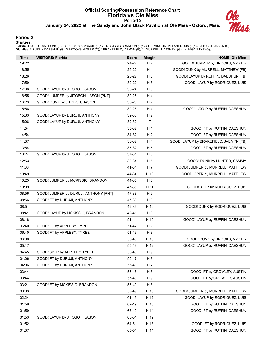#### **Official Scoring/Possession Reference Chart Florida vs Ole Miss Period 2 January 24, 2022 at The Sandy and John Black Pavilion at Ole Miss - Oxford, Miss.**



#### **Period 2**

#### **Starters:**

Florida: 4 DURUJI,ANTHONY (F); 14 REEVES,KOWACIE (G); 23 MCKISSIC,BRANDON (G); 24 FLEMING JR.,PHLANDROUS (G); 33 JITOBOH,JASON (C);<br>**Ole Miss**: 2 RUFFIN,DAESHUN (G); 3 BROOKS,NYSIER (C); 4 BRAKEFIELD,JAEMYN (F); 11 MURRELL

| Time  | <b>VISITORS: Florida</b>              | <b>Score</b> | <b>Margin</b>  | <b>HOME: Ole Miss</b>                  |
|-------|---------------------------------------|--------------|----------------|----------------------------------------|
| 19:22 |                                       | 24-22        | H <sub>2</sub> | GOOD! JUMPER by BROOKS, NYSIER         |
| 18:55 |                                       | 26-22        | H 4            | GOOD! DUNK by MURRELL, MATTHEW [FB]    |
| 18:26 |                                       | 28-22        | H <sub>6</sub> | GOOD! LAYUP by RUFFIN, DAESHUN [FB]    |
| 17:59 |                                       | 30-22        | H <sub>8</sub> | GOOD! LAYUP by RODRIGUEZ, LUIS         |
| 17:36 | GOOD! LAYUP by JITOBOH, JASON         | $30 - 24$    | H <sub>6</sub> |                                        |
| 16:55 | GOOD! JUMPER by JITOBOH, JASON [PNT]  | 30-26        | H 4            |                                        |
| 16:23 | GOOD! DUNK by JITOBOH, JASON          | 30-28        | H <sub>2</sub> |                                        |
| 15:56 |                                       | 32-28        | H 4            | GOOD! LAYUP by RUFFIN, DAESHUN         |
| 15:33 | GOOD! LAYUP by DURUJI, ANTHONY        | 32-30        | H <sub>2</sub> |                                        |
| 15:06 | GOOD! LAYUP by DURUJI, ANTHONY        | 32-32        | $\mathsf{T}$   |                                        |
| 14:54 |                                       | 33-32        | H <sub>1</sub> | GOOD! FT by RUFFIN, DAESHUN            |
| 14:54 |                                       | 34-32        | H <sub>2</sub> | GOOD! FT by RUFFIN, DAESHUN            |
| 14:37 |                                       | 36-32        | H 4            | GOOD! LAYUP by BRAKEFIELD, JAEMYN [FB] |
| 13:54 |                                       | 37-32        | H 5            | GOOD! FT by RUFFIN, DAESHUN            |
| 13:24 | GOOD! LAYUP by JITOBOH, JASON         | 37-34        | H <sub>3</sub> |                                        |
| 12:53 |                                       | 39-34        | H 5            | GOOD! DUNK by HUNTER, SAMMY            |
| 11:36 |                                       | 41-34        | H 7            | GOOD! JUMPER by MURRELL, MATTHEW       |
| 10:49 |                                       | 44-34        | H 10           | GOOD! 3PTR by MURRELL, MATTHEW         |
| 10:25 | GOOD! JUMPER by MCKISSIC, BRANDON     | 44-36        | H <sub>8</sub> |                                        |
| 10:09 |                                       | 47-36        | H 11           | GOOD! 3PTR by RODRIGUEZ, LUIS          |
| 08:56 | GOOD! JUMPER by DURUJI, ANTHONY [PNT] | 47-38        | H 9            |                                        |
| 08:56 | GOOD! FT by DURUJI, ANTHONY           | 47-39        | H <sub>8</sub> |                                        |
| 08:51 |                                       | 49-39        | H 10           | GOOD! DUNK by RODRIGUEZ, LUIS          |
| 08:41 | GOOD! LAYUP by MCKISSIC, BRANDON      | 49-41        | H <sub>8</sub> |                                        |
| 08:18 |                                       | $51 - 41$    | H 10           | GOOD! LAYUP by RUFFIN, DAESHUN         |
| 06:40 | GOOD! FT by APPLEBY, TYREE            | 51-42        | H 9            |                                        |
| 06:40 | GOOD! FT by APPLEBY, TYREE            | 51-43        | H <sub>8</sub> |                                        |
| 06:00 |                                       | 53-43        | H 10           | GOOD! DUNK by BROOKS, NYSIER           |
| 05:17 |                                       | 55-43        | H 12           | GOOD! LAYUP by RUFFIN, DAESHUN         |
| 04:45 | GOOD! 3PTR by APPLEBY, TYREE          | 55-46        | H 9            |                                        |
| 04:06 | GOOD! FT by DURUJI, ANTHONY           | 55-47        | H <sub>8</sub> |                                        |
| 04:06 | GOOD! FT by DURUJI, ANTHONY           | 55-48        | H 7            |                                        |
| 03:44 |                                       | 56-48        | H <sub>8</sub> | GOOD! FT by CROWLEY, AUSTIN            |
| 03:44 |                                       | 57-48        | H 9            | GOOD! FT by CROWLEY, AUSTIN            |
| 03:21 | GOOD! FT by MCKISSIC, BRANDON         | 57-49        | H <sub>8</sub> |                                        |
| 03:03 |                                       | 59-49        | H 10           | GOOD! JUMPER by MURRELL, MATTHEW       |
| 02:24 |                                       | 61-49        | H 12           | GOOD! LAYUP by RODRIGUEZ, LUIS         |
| 01:59 |                                       | 62-49        | H 13           | GOOD! FT by RUFFIN, DAESHUN            |
| 01:59 |                                       | 63-49        | H 14           | GOOD! FT by RUFFIN, DAESHUN            |
| 01:53 | GOOD! LAYUP by JITOBOH, JASON         | 63-51        | H 12           |                                        |
| 01:52 |                                       | 64-51        | H 13           | GOOD! FT by RODRIGUEZ, LUIS            |
| 01:37 |                                       | 65-51        | H 14           | GOOD! FT by RUFFIN, DAESHUN            |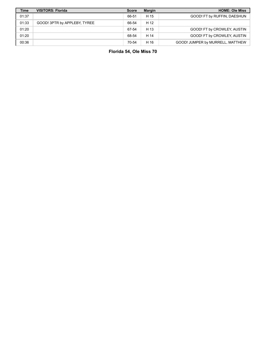| <b>Time</b> | <b>VISITORS: Florida</b>     | <b>Score</b> | <b>Margin</b> | <b>HOME: Ole Miss</b>            |
|-------------|------------------------------|--------------|---------------|----------------------------------|
| 01:37       |                              | 66-51        | H 15          | GOOD! FT by RUFFIN, DAESHUN      |
| 01:33       | GOOD! 3PTR by APPLEBY, TYREE | 66-54        | H 12          |                                  |
| 01:20       |                              | 67-54        | H 13          | GOOD! FT by CROWLEY, AUSTIN      |
| 01:20       |                              | 68-54        | H 14          | GOOD! FT by CROWLEY, AUSTIN      |
| 00:36       |                              | 70-54        | H 16          | GOOD! JUMPER by MURRELL, MATTHEW |

**Florida 54, Ole Miss 70**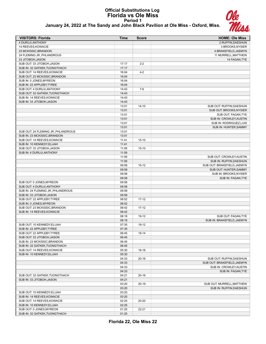## **Official Substitutions Log Florida vs Ole Miss Period 1 January 24, 2022 at The Sandy and John Black Pavilion at Ole Miss - Oxford, Miss.**



| <b>VISITORS: Florida</b>                                   | <b>Time</b>    | <b>Score</b> | <b>HOME: Ole Miss</b>                               |
|------------------------------------------------------------|----------------|--------------|-----------------------------------------------------|
| <b>4 DURUJI.ANTHONY</b>                                    |                |              | 2 RUFFIN, DAESHUN                                   |
| 14 REEVES.KOWACIE                                          |                |              | 3 BROOKS, NYSIER                                    |
| 23 MCKISSIC, BRANDON                                       |                |              | 4 BRAKEFIELD, JAEMYN                                |
| 24 FLEMING JR., PHLANDROUS                                 |                |              | 11 MURRELL, MATTHEW                                 |
| 33 JITOBOH, JASON                                          |                |              | 14 FAGAN, TYE                                       |
| SUB OUT: 33 JITOBOH, JASON                                 | 17:17          | $2 - 2$      |                                                     |
| SUB IN: 32 GATKEK, TUONGTHACH                              | 17:17          |              |                                                     |
| SUB OUT: 14 REEVES, KOWACIE                                | 16:04          | $4 - 2$      |                                                     |
| SUB OUT: 23 MCKISSIC, BRANDON                              | 16:04          |              |                                                     |
| SUB IN: 0 JONES, MYREON                                    | 16:04          |              |                                                     |
| SUB IN: 22 APPLEBY, TYREE                                  | 16:04          |              |                                                     |
| SUB OUT: 4 DURUJI, ANTHONY                                 | 14:43          | $7-6$        |                                                     |
| SUB OUT: 32 GATKEK, TUONGTHACH                             | 14:43          |              |                                                     |
| SUB IN: 14 REEVES, KOWACIE                                 | 14:43          |              |                                                     |
| SUB IN: 33 JITOBOH, JASON                                  | 14:43          |              |                                                     |
|                                                            | 13:01          | $14 - 10$    | SUB OUT: RUFFIN, DAESHUN                            |
|                                                            | 13:01          |              | SUB OUT: BROOKS, NYSIER                             |
|                                                            | 13:01          |              | SUB OUT: FAGAN, TYE                                 |
|                                                            | 13:01          |              | SUB IN: CROWLEY, AUSTIN                             |
|                                                            | 13:01          |              | SUB IN: RODRIGUEZ,LUIS                              |
|                                                            | 13:01          |              | SUB IN: HUNTER, SAMMY                               |
| SUB OUT: 24 FLEMING JR., PHLANDROUS                        | 13:01          |              |                                                     |
| SUB IN: 23 MCKISSIC, BRANDON<br>SUB OUT: 14 REEVES.KOWACIE | 13:01          |              |                                                     |
|                                                            | 11:41          | $15 - 10$    |                                                     |
| SUB IN: 10 KENNEDY, ELIJAH<br>SUB OUT: 33 JITOBOH, JASON   | 11:41<br>11:09 | $15 - 10$    |                                                     |
|                                                            |                |              |                                                     |
| SUB IN: 4 DURUJI, ANTHONY                                  | 11:09<br>11:09 |              |                                                     |
|                                                            | 11:09          |              | SUB OUT: CROWLEY, AUSTIN<br>SUB IN: RUFFIN, DAESHUN |
|                                                            | 09:58          | $15 - 12$    | SUB OUT: BRAKEFIELD, JAEMYN                         |
|                                                            | 09:58          |              | SUB OUT: HUNTER, SAMMY                              |
|                                                            | 09:58          |              | SUB IN: BROOKS, NYSIER                              |
|                                                            | 09:58          |              | SUB IN: FAGAN, TYE                                  |
| SUB OUT: 0 JONES, MYREON                                   | 09:58          |              |                                                     |
| SUB OUT: 4 DURUJI, ANTHONY                                 | 09:58          |              |                                                     |
| SUB IN: 24 FLEMING JR., PHLANDROUS                         | 09:58          |              |                                                     |
| SUB IN: 33 JITOBOH, JASON                                  | 09:58          |              |                                                     |
| SUB OUT: 22 APPLEBY, TYREE                                 | 08:52          | $17 - 12$    |                                                     |
| SUB IN: 0 JONES, MYREON                                    | 08:52          |              |                                                     |
| SUB OUT: 23 MCKISSIC, BRANDON                              | 08:42          | $17 - 12$    |                                                     |
| SUB IN: 14 REEVES, KOWACIE                                 | 08:42          |              |                                                     |
|                                                            | 08:18          | 19-12        | SUB OUT: FAGAN, TYE                                 |
|                                                            | 08:18          |              | SUB IN: BRAKEFIELD, JAEMYN                          |
| SUB OUT: 10 KENNEDY, ELIJAH                                | 07:35          | 19-12        |                                                     |
| SUB IN: 22 APPLEBY, TYREE                                  | 07:35          |              |                                                     |
| SUB OUT: 22 APPLEBY, TYREE                                 | 06:45          | 19-14        |                                                     |
| SUB OUT: 33 JITOBOH, JASON                                 | 06:45          |              |                                                     |
| SUB IN: 23 MCKISSIC, BRANDON                               | 06:45          |              |                                                     |
| SUB IN: 32 GATKEK, TUONGTHACH                              | 06:45          |              |                                                     |
| SUB OUT: 14 REEVES, KOWACIE                                | 05:30          | 19-16        |                                                     |
| SUB IN: 10 KENNEDY, ELIJAH                                 | 05:30          |              |                                                     |
|                                                            | 04:33          | $20 - 16$    | SUB OUT: RUFFIN, DAESHUN                            |
|                                                            | 04:33          |              | SUB OUT: BRAKEFIELD, JAEMYN                         |
|                                                            | 04:33          |              | SUB IN: CROWLEY, AUSTIN                             |
|                                                            | 04:33          |              | SUB IN: FAGAN, TYE                                  |
| SUB OUT: 32 GATKEK, TUONGTHACH                             | 04:21          | $20 - 16$    |                                                     |
| SUB IN: 33 JITOBOH, JASON                                  | 04:21          |              |                                                     |
|                                                            | 03:20          | $20 - 19$    | SUB OUT: MURRELL, MATTHEW                           |
|                                                            | 03:20          |              | SUB IN: RUFFIN, DAESHUN                             |
| SUB OUT: 10 KENNEDY, ELIJAH                                | 03:20          |              |                                                     |
| SUB IN: 14 REEVES, KOWACIE                                 | 03:20          |              |                                                     |
| SUB OUT: 14 REEVES, KOWACIE                                | 02:25          | 20-20        |                                                     |
| SUB IN: 10 KENNEDY, ELIJAH                                 | 02:25          |              |                                                     |
| SUB OUT: 0 JONES, MYREON                                   | 01:25          | $22 - 21$    |                                                     |
| SUB IN: 32 GATKEK, TUONGTHACH                              | 01:25          |              |                                                     |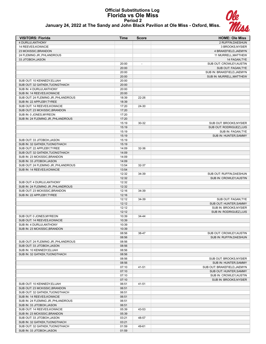#### **Official Substitutions Log Florida vs Ole Miss Period 2 January 24, 2022 at The Sandy and John Black Pavilion at Ole Miss - Oxford, Miss.**



| <b>VISITORS: Florida</b>                                     | <b>Time</b>    | <b>Score</b>             | <b>HOME: Ole Miss</b>                               |
|--------------------------------------------------------------|----------------|--------------------------|-----------------------------------------------------|
| 4 DURUJI, ANTHONY                                            |                |                          | 2 RUFFIN, DAESHUN                                   |
| 14 REEVES, KOWACIE                                           |                |                          | 3 BROOKS, NYSIER                                    |
| 23 MCKISSIC, BRANDON                                         |                |                          | 4 BRAKEFIELD, JAEMYN                                |
| 24 FLEMING JR., PHLANDROUS                                   |                |                          | 11 MURRELL, MATTHEW                                 |
| 33 JITOBOH, JASON                                            |                |                          | 14 FAGAN, TYE                                       |
|                                                              | 20:00<br>20:00 | $\overline{\phantom{a}}$ | SUB OUT: CROWLEY, AUSTIN<br>SUB OUT: FAGAN, TYE     |
|                                                              | 20:00          |                          | SUB IN: BRAKEFIELD, JAEMYN                          |
|                                                              | 20:00          |                          | SUB IN: MURRELL, MATTHEW                            |
| SUB OUT: 10 KENNEDY, ELIJAH                                  | 20:00          |                          |                                                     |
| SUB OUT: 32 GATKEK, TUONGTHACH                               | 20:00          |                          |                                                     |
| SUB IN: 4 DURUJI.ANTHONY                                     | 20:00          |                          |                                                     |
| SUB IN: 14 REEVES, KOWACIE                                   | 20:00          |                          |                                                     |
| SUB OUT: 24 FLEMING JR., PHLANDROUS                          | 18:39          | 22-26                    |                                                     |
| SUB IN: 22 APPLEBY, TYREE                                    | 18:39          |                          |                                                     |
| SUB OUT: 14 REEVES, KOWACIE<br>SUB OUT: 23 MCKISSIC, BRANDON | 17:20<br>17:20 | 24-30                    |                                                     |
| SUB IN: 0 JONES, MYREON                                      | 17:20          |                          |                                                     |
| SUB IN: 24 FLEMING JR., PHLANDROUS                           | 17:20          |                          |                                                     |
|                                                              | 15:19          | 30-32                    | SUB OUT: BROOKS, NYSIER                             |
|                                                              | 15:19          |                          | SUB OUT: RODRIGUEZ, LUIS                            |
|                                                              | 15:19          |                          | SUB IN: FAGAN, TYE                                  |
|                                                              | 15:19          |                          | SUB IN: HUNTER, SAMMY                               |
| SUB OUT: 33 JITOBOH, JASON                                   | 15:19          |                          |                                                     |
| SUB IN: 32 GATKEK, TUONGTHACH                                | 15:19          |                          |                                                     |
| SUB OUT: 22 APPLEBY, TYREE<br>SUB OUT: 32 GATKEK, TUONGTHACH | 14:09<br>14:09 | 32-36                    |                                                     |
| SUB IN: 23 MCKISSIC, BRANDON                                 | 14:09          |                          |                                                     |
| SUB IN: 33 JITOBOH, JASON                                    | 14:09          |                          |                                                     |
| SUB OUT: 24 FLEMING JR., PHLANDROUS                          | 13:54          | 32-37                    |                                                     |
| SUB IN: 14 REEVES, KOWACIE                                   | 13:54          |                          |                                                     |
|                                                              | 12:32          | 34-39                    | SUB OUT: RUFFIN, DAESHUN                            |
|                                                              | 12:32          |                          | SUB IN: CROWLEY, AUSTIN                             |
| SUB OUT: 4 DURUJI, ANTHONY                                   | 12:32          |                          |                                                     |
| SUB IN: 24 FLEMING JR., PHLANDROUS                           | 12:32          |                          |                                                     |
| SUB OUT: 23 MCKISSIC, BRANDON<br>SUB IN: 22 APPLEBY, TYREE   | 12:16<br>12:16 | 34-39                    |                                                     |
|                                                              | 12:12          | 34-39                    | SUB OUT: FAGAN, TYE                                 |
|                                                              | 12:12          |                          | SUB OUT: HUNTER, SAMMY                              |
|                                                              | 12:12          |                          | SUB IN: BROOKS.NYSIER                               |
|                                                              | 12:12          |                          | SUB IN: RODRIGUEZ,LUIS                              |
| SUB OUT: 0 JONES, MYREON                                     | 10:39          | 34-44                    |                                                     |
| SUB OUT: 14 REEVES, KOWACIE                                  | 10:39          |                          |                                                     |
| SUB IN: 4 DURUJI, ANTHONY                                    | 10:39          |                          |                                                     |
| SUB IN: 23 MCKISSIC, BRANDON                                 | 10:39<br>08:56 | 38-47                    |                                                     |
|                                                              | 08:56          |                          | SUB OUT: CROWLEY, AUSTIN<br>SUB IN: RUFFIN, DAESHUN |
| SUB OUT: 24 FLEMING JR., PHLANDROUS                          | 08:56          |                          |                                                     |
| SUB OUT: 33 JITOBOH, JASON                                   | 08:56          |                          |                                                     |
| SUB IN: 10 KENNEDY, ELIJAH                                   | 08:56          |                          |                                                     |
| SUB IN: 32 GATKEK, TUONGTHACH                                | 08:56          |                          |                                                     |
|                                                              | 08:56          |                          | SUB OUT: BROOKS, NYSIER                             |
|                                                              | 08:56          |                          | SUB IN: HUNTER, SAMMY                               |
|                                                              | 07:10          | 41-51                    | SUB OUT: BRAKEFIELD, JAEMYN                         |
|                                                              | 07:10<br>07:10 |                          | SUB OUT: HUNTER, SAMMY<br>SUB IN: CROWLEY, AUSTIN   |
|                                                              | 07:10          |                          | SUB IN: BROOKS, NYSIER                              |
| SUB OUT: 10 KENNEDY, ELIJAH                                  | 06:51          | 41-51                    |                                                     |
| SUB OUT: 23 MCKISSIC, BRANDON                                | 06:51          |                          |                                                     |
| SUB OUT: 32 GATKEK, TUONGTHACH                               | 06:51          |                          |                                                     |
| SUB IN: 14 REEVES, KOWACIE                                   | 06:51          |                          |                                                     |
| SUB IN: 24 FLEMING JR., PHLANDROUS                           | 06:51          |                          |                                                     |
| SUB IN: 33 JITOBOH, JASON                                    | 06:51          |                          |                                                     |
| SUB OUT: 14 REEVES, KOWACIE                                  | 05:39          | 43-53                    |                                                     |
| SUB IN: 23 MCKISSIC, BRANDON                                 | 05:39          |                          |                                                     |
| SUB OUT: 33 JITOBOH, JASON<br>SUB IN: 32 GATKEK, TUONGTHACH  | 03:21<br>03:21 | 48-57                    |                                                     |
| SUB OUT: 32 GATKEK, TUONGTHACH                               | 01:59          | 49-61                    |                                                     |
| SUB IN: 33 JITOBOH, JASON                                    | 01:59          |                          |                                                     |